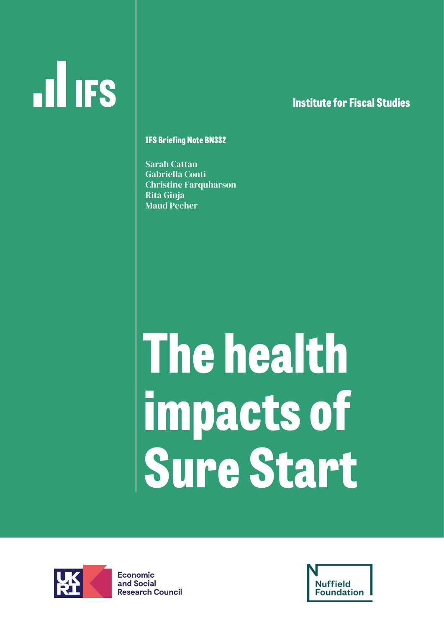# **ILL IFS**

### **lnstitute for Fiscal Studies**

#### **IFS Briefing Note BN332**

Sarah Cattan Gabriella Conti Christine Farquharson Rita Ginja Maud Pecher

# **The health impacts of Sure Start**



**Economic** and Social **Research Council** 

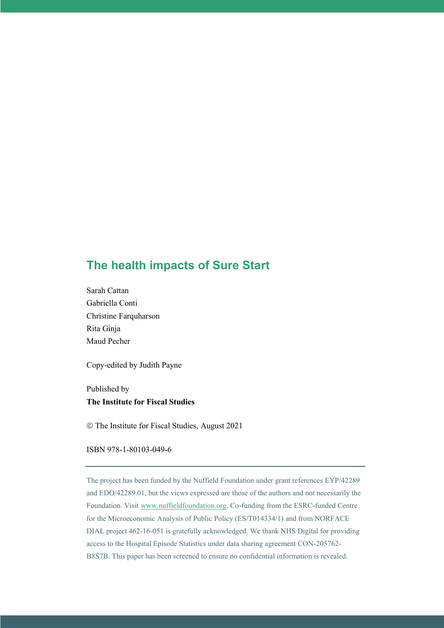### **The health impacts of Sure Start**

Sarah Cattan Gabriella Conti Christine Farquharson Rita Ginja Maud Pecher

Copy-edited by Judith Payne

Published by **The Institute for Fiscal Studies**

The Institute for Fiscal Studies, August 2021

ISBN 978-1-80103-049-6

The project has been funded by the Nuffield Foundation under grant references EYP/42289 and EDO/42289.01, but the views expressed are those of the authors and not necessarily the Foundation. Visit [www.nuffieldfoundation.org.](http://www.nuffieldfoundation.org/) Co-funding from the ESRC-funded Centre for the Microeconomic Analysis of Public Policy (ES/T014334/1) and from NORFACE DIAL project 462-16-051 is gratefully acknowledged. We thank NHS Digital for providing access to the Hospital Episode Statistics under data sharing agreement CON-205762- B8S7B. This paper has been screened to ensure no confidential information is revealed.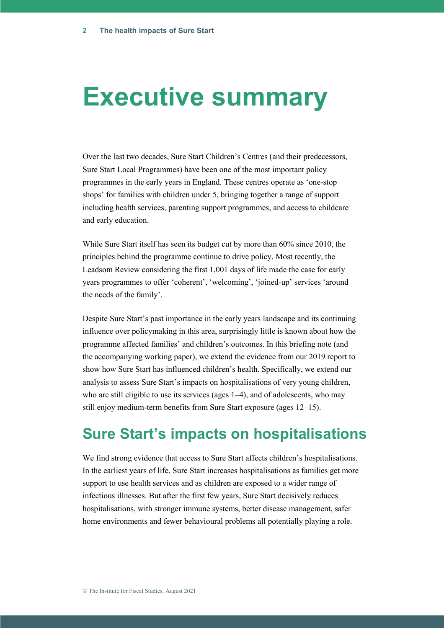# **Executive summary**

Over the last two decades, Sure Start Children's Centres (and their predecessors, Sure Start Local Programmes) have been one of the most important policy programmes in the early years in England. These centres operate as 'one-stop shops' for families with children under 5, bringing together a range of support including health services, parenting support programmes, and access to childcare and early education.

While Sure Start itself has seen its budget cut by more than 60% since 2010, the principles behind the programme continue to drive policy. Most recently, the Leadsom Review considering the first 1,001 days of life made the case for early years programmes to offer 'coherent', 'welcoming', 'joined-up' services 'around the needs of the family'.

Despite Sure Start's past importance in the early years landscape and its continuing influence over policymaking in this area, surprisingly little is known about how the programme affected families' and children's outcomes. In this briefing note (and the accompanying working paper), we extend the evidence from our 2019 report to show how Sure Start has influenced children's health. Specifically, we extend our analysis to assess Sure Start's impacts on hospitalisations of very young children, who are still eligible to use its services (ages 1–4), and of adolescents, who may still enjoy medium-term benefits from Sure Start exposure (ages 12–15).

### **Sure Start's impacts on hospitalisations**

We find strong evidence that access to Sure Start affects children's hospitalisations. In the earliest years of life, Sure Start increases hospitalisations as families get more support to use health services and as children are exposed to a wider range of infectious illnesses. But after the first few years, Sure Start decisively reduces hospitalisations, with stronger immune systems, better disease management, safer home environments and fewer behavioural problems all potentially playing a role.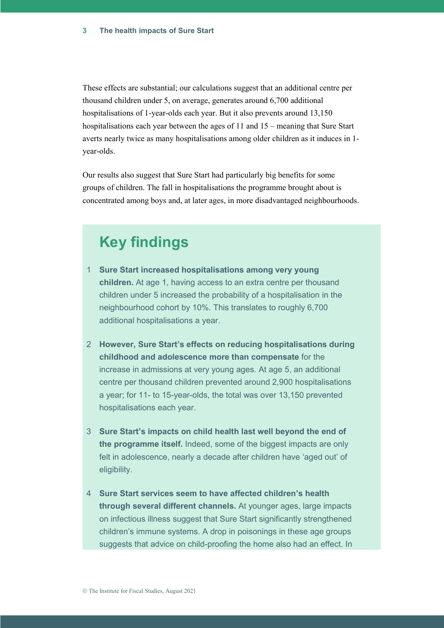These effects are substantial; our calculations suggest that an additional centre per thousand children under 5, on average, generates around 6,700 additional hospitalisations of 1-year-olds each year. But it also prevents around 13,150 hospitalisations each year between the ages of 11 and 15 – meaning that Sure Start averts nearly twice as many hospitalisations among older children as it induces in 1 year-olds.

Our results also suggest that Sure Start had particularly big benefits for some groups of children. The fall in hospitalisations the programme brought about is concentrated among boys and, at later ages, in more disadvantaged neighbourhoods.

# **Key findings**

- 1 **Sure Start increased hospitalisations among very young children.** At age 1, having access to an extra centre per thousand children under 5 increased the probability of a hospitalisation in the neighbourhood cohort by 10%. This translates to roughly 6,700 additional hospitalisations a year.
- 2 **However, Sure Start's effects on reducing hospitalisations during childhood and adolescence more than compensate** for the increase in admissions at very young ages. At age 5, an additional centre per thousand children prevented around 2,900 hospitalisations a year; for 11- to 15-year-olds, the total was over 13,150 prevented hospitalisations each year.
- 3 **Sure Start's impacts on child health last well beyond the end of the programme itself.** Indeed, some of the biggest impacts are only felt in adolescence, nearly a decade after children have 'aged out' of eligibility.
- 4 **Sure Start services seem to have affected children's health through several different channels.** At younger ages, large impacts on infectious illness suggest that Sure Start significantly strengthened children's immune systems. A drop in poisonings in these age groups suggests that advice on child-proofing the home also had an effect. In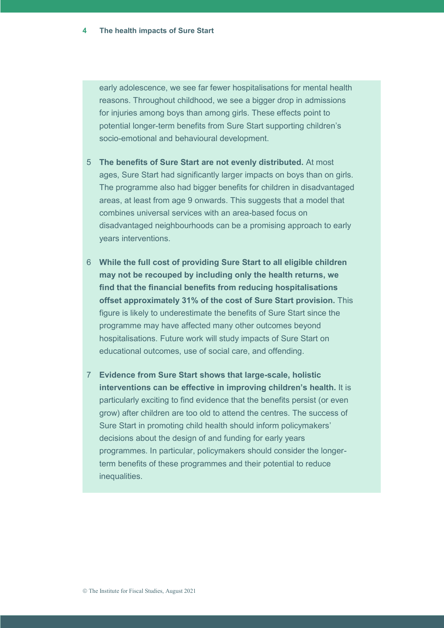early adolescence, we see far fewer hospitalisations for mental health reasons. Throughout childhood, we see a bigger drop in admissions for injuries among boys than among girls. These effects point to potential longer-term benefits from Sure Start supporting children's socio-emotional and behavioural development.

- 5 **The benefits of Sure Start are not evenly distributed.** At most ages, Sure Start had significantly larger impacts on boys than on girls. The programme also had bigger benefits for children in disadvantaged areas, at least from age 9 onwards. This suggests that a model that combines universal services with an area-based focus on disadvantaged neighbourhoods can be a promising approach to early years interventions.
- 6 **While the full cost of providing Sure Start to all eligible children may not be recouped by including only the health returns, we find that the financial benefits from reducing hospitalisations offset approximately 31% of the cost of Sure Start provision.** This figure is likely to underestimate the benefits of Sure Start since the programme may have affected many other outcomes beyond hospitalisations. Future work will study impacts of Sure Start on educational outcomes, use of social care, and offending.
- 7 **Evidence from Sure Start shows that large-scale, holistic interventions can be effective in improving children's health.** It is particularly exciting to find evidence that the benefits persist (or even grow) after children are too old to attend the centres. The success of Sure Start in promoting child health should inform policymakers' decisions about the design of and funding for early years programmes. In particular, policymakers should consider the longerterm benefits of these programmes and their potential to reduce inequalities.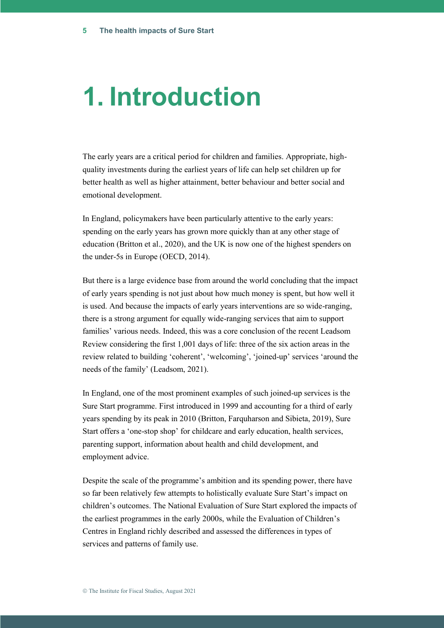# **1. Introduction**

The early years are a critical period for children and families. Appropriate, highquality investments during the earliest years of life can help set children up for better health as well as higher attainment, better behaviour and better social and emotional development.

In England, policymakers have been particularly attentive to the early years: spending on the early years has grown more quickly than at any other stage of education (Britton et al., 2020), and the UK is now one of the highest spenders on the under-5s in Europe (OECD, 2014).

But there is a large evidence base from around the world concluding that the impact of early years spending is not just about how much money is spent, but how well it is used. And because the impacts of early years interventions are so wide-ranging, there is a strong argument for equally wide-ranging services that aim to support families' various needs. Indeed, this was a core conclusion of the recent Leadsom Review considering the first 1,001 days of life: three of the six action areas in the review related to building 'coherent', 'welcoming', 'joined-up' services 'around the needs of the family' (Leadsom, 2021).

In England, one of the most prominent examples of such joined-up services is the Sure Start programme. First introduced in 1999 and accounting for a third of early years spending by its peak in 2010 (Britton, Farquharson and Sibieta, 2019), Sure Start offers a 'one-stop shop' for childcare and early education, health services, parenting support, information about health and child development, and employment advice.

Despite the scale of the programme's ambition and its spending power, there have so far been relatively few attempts to holistically evaluate Sure Start's impact on children's outcomes. The National Evaluation of Sure Start explored the impacts of the earliest programmes in the early 2000s, while the Evaluation of Children's Centres in England richly described and assessed the differences in types of services and patterns of family use.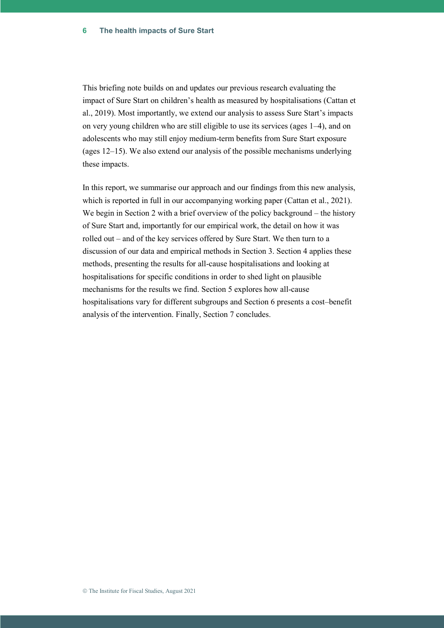This briefing note builds on and updates our previous research evaluating the impact of Sure Start on children's health as measured by hospitalisations (Cattan et al., 2019). Most importantly, we extend our analysis to assess Sure Start's impacts on very young children who are still eligible to use its services (ages 1–4), and on adolescents who may still enjoy medium-term benefits from Sure Start exposure (ages 12–15). We also extend our analysis of the possible mechanisms underlying these impacts.

In this report, we summarise our approach and our findings from this new analysis, which is reported in full in our accompanying working paper (Cattan et al., 2021). We begin in Section 2 with a brief overview of the policy background – the history of Sure Start and, importantly for our empirical work, the detail on how it was rolled out – and of the key services offered by Sure Start. We then turn to a discussion of our data and empirical methods in Section 3. Section 4 applies these methods, presenting the results for all-cause hospitalisations and looking at hospitalisations for specific conditions in order to shed light on plausible mechanisms for the results we find. Section 5 explores how all-cause hospitalisations vary for different subgroups and Section 6 presents a cost–benefit analysis of the intervention. Finally, Section 7 concludes.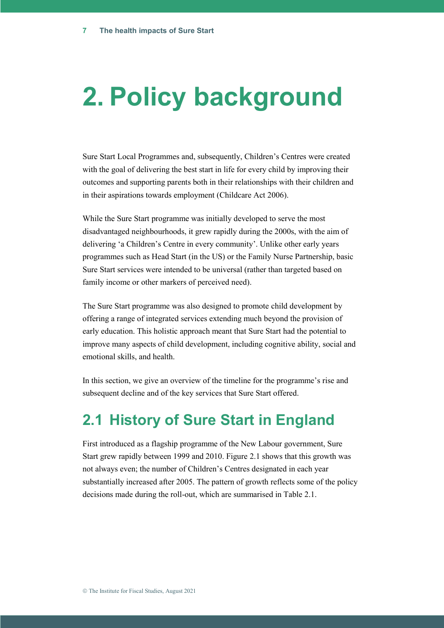# **2. Policy background**

Sure Start Local Programmes and, subsequently, Children's Centres were created with the goal of delivering the best start in life for every child by improving their outcomes and supporting parents both in their relationships with their children and in their aspirations towards employment (Childcare Act 2006).

While the Sure Start programme was initially developed to serve the most disadvantaged neighbourhoods, it grew rapidly during the 2000s, with the aim of delivering 'a Children's Centre in every community'. Unlike other early years programmes such as Head Start (in the US) or the Family Nurse Partnership, basic Sure Start services were intended to be universal (rather than targeted based on family income or other markers of perceived need).

The Sure Start programme was also designed to promote child development by offering a range of integrated services extending much beyond the provision of early education. This holistic approach meant that Sure Start had the potential to improve many aspects of child development, including cognitive ability, social and emotional skills, and health.

In this section, we give an overview of the timeline for the programme's rise and subsequent decline and of the key services that Sure Start offered.

# **2.1 History of Sure Start in England**

First introduced as a flagship programme of the New Labour government, Sure Start grew rapidly between 1999 and 2010. Figure 2.1 shows that this growth was not always even; the number of Children's Centres designated in each year substantially increased after 2005. The pattern of growth reflects some of the policy decisions made during the roll-out, which are summarised in Table 2.1.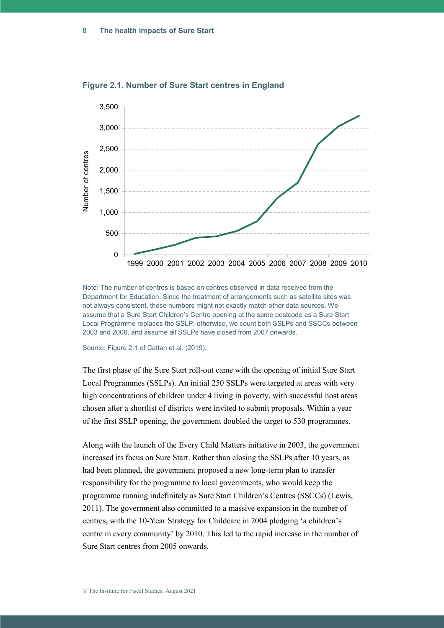

#### **Figure 2.1. Number of Sure Start centres in England**

Note: The number of centres is based on centres observed in data received from the Department for Education. Since the treatment of arrangements such as satellite sites was not always consistent, these numbers might not exactly match other data sources. We assume that a Sure Start Children's Centre opening at the same postcode as a Sure Start Local Programme replaces the SSLP; otherwise, we count both SSLPs and SSCCs between 2003 and 2006, and assume all SSLPs have closed from 2007 onwards.

Source: Figure 2.1 of Cattan et al. (2019).

The first phase of the Sure Start roll-out came with the opening of initial Sure Start Local Programmes (SSLPs). An initial 250 SSLPs were targeted at areas with very high concentrations of children under 4 living in poverty, with successful host areas chosen after a shortlist of districts were invited to submit proposals. Within a year of the first SSLP opening, the government doubled the target to 530 programmes.

Along with the launch of the Every Child Matters initiative in 2003, the government increased its focus on Sure Start. Rather than closing the SSLPs after 10 years, as had been planned, the government proposed a new long-term plan to transfer responsibility for the programme to local governments, who would keep the programme running indefinitely as Sure Start Children's Centres (SSCCs) (Lewis, 2011). The government also committed to a massive expansion in the number of centres, with the 10-Year Strategy for Childcare in 2004 pledging 'a children's centre in every community' by 2010. This led to the rapid increase in the number of Sure Start centres from 2005 onwards.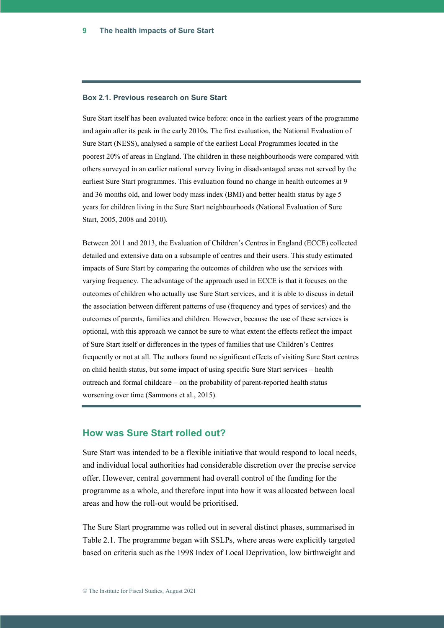#### **Box 2.1. Previous research on Sure Start**

Sure Start itself has been evaluated twice before: once in the earliest years of the programme and again after its peak in the early 2010s. The first evaluation, the National Evaluation of Sure Start (NESS), analysed a sample of the earliest Local Programmes located in the poorest 20% of areas in England. The children in these neighbourhoods were compared with others surveyed in an earlier national survey living in disadvantaged areas not served by the earliest Sure Start programmes. This evaluation found no change in health outcomes at 9 and 36 months old, and lower body mass index (BMI) and better health status by age 5 years for children living in the Sure Start neighbourhoods (National Evaluation of Sure Start, 2005, 2008 and 2010).

Between 2011 and 2013, the Evaluation of Children's Centres in England (ECCE) collected detailed and extensive data on a subsample of centres and their users. This study estimated impacts of Sure Start by comparing the outcomes of children who use the services with varying frequency. The advantage of the approach used in ECCE is that it focuses on the outcomes of children who actually use Sure Start services, and it is able to discuss in detail the association between different patterns of use (frequency and types of services) and the outcomes of parents, families and children. However, because the use of these services is optional, with this approach we cannot be sure to what extent the effects reflect the impact of Sure Start itself or differences in the types of families that use Children's Centres frequently or not at all. The authors found no significant effects of visiting Sure Start centres on child health status, but some impact of using specific Sure Start services – health outreach and formal childcare – on the probability of parent-reported health status worsening over time (Sammons et al., 2015).

#### **How was Sure Start rolled out?**

Sure Start was intended to be a flexible initiative that would respond to local needs, and individual local authorities had considerable discretion over the precise service offer. However, central government had overall control of the funding for the programme as a whole, and therefore input into how it was allocated between local areas and how the roll-out would be prioritised.

The Sure Start programme was rolled out in several distinct phases, summarised in Table 2.1. The programme began with SSLPs, where areas were explicitly targeted based on criteria such as the 1998 Index of Local Deprivation, low birthweight and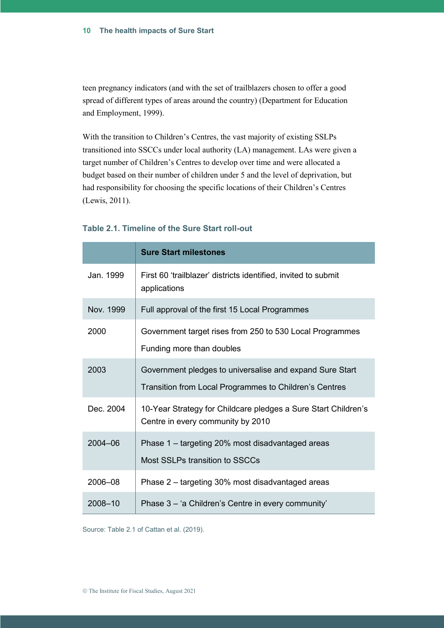teen pregnancy indicators (and with the set of trailblazers chosen to offer a good spread of different types of areas around the country) (Department for Education and Employment, 1999).

With the transition to Children's Centres, the vast majority of existing SSLPs transitioned into SSCCs under local authority (LA) management. LAs were given a target number of Children's Centres to develop over time and were allocated a budget based on their number of children under 5 and the level of deprivation, but had responsibility for choosing the specific locations of their Children's Centres (Lewis, 2011).

|           | <b>Sure Start milestones</b>                                                                                       |
|-----------|--------------------------------------------------------------------------------------------------------------------|
| Jan. 1999 | First 60 'trailblazer' districts identified, invited to submit<br>applications                                     |
| Nov. 1999 | Full approval of the first 15 Local Programmes                                                                     |
| 2000      | Government target rises from 250 to 530 Local Programmes<br>Funding more than doubles                              |
| 2003      | Government pledges to universalise and expand Sure Start<br>Transition from Local Programmes to Children's Centres |
| Dec. 2004 | 10-Year Strategy for Childcare pledges a Sure Start Children's<br>Centre in every community by 2010                |
| 2004-06   | Phase 1 – targeting 20% most disadvantaged areas<br>Most SSLPs transition to SSCCs                                 |
| 2006-08   | Phase 2 – targeting 30% most disadvantaged areas                                                                   |
| 2008-10   | Phase 3 - 'a Children's Centre in every community'                                                                 |

#### **Table 2.1. Timeline of the Sure Start roll-out**

Source: Table 2.1 of Cattan et al. (2019).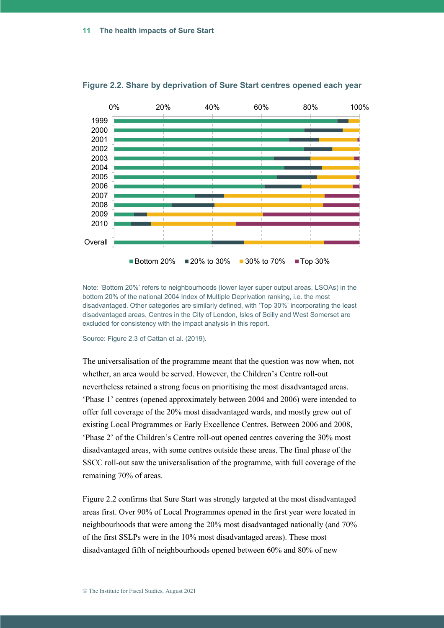

**Figure 2.2. Share by deprivation of Sure Start centres opened each year**

Note: 'Bottom 20%' refers to neighbourhoods (lower layer super output areas, LSOAs) in the bottom 20% of the national 2004 Index of Multiple Deprivation ranking, i.e. the most disadvantaged. Other categories are similarly defined, with 'Top 30%' incorporating the least disadvantaged areas. Centres in the City of London, Isles of Scilly and West Somerset are excluded for consistency with the impact analysis in this report.

Source: Figure 2.3 of Cattan et al. (2019).

The universalisation of the programme meant that the question was now when, not whether, an area would be served. However, the Children's Centre roll-out nevertheless retained a strong focus on prioritising the most disadvantaged areas. 'Phase 1' centres (opened approximately between 2004 and 2006) were intended to offer full coverage of the 20% most disadvantaged wards, and mostly grew out of existing Local Programmes or Early Excellence Centres. Between 2006 and 2008, 'Phase 2' of the Children's Centre roll-out opened centres covering the 30% most disadvantaged areas, with some centres outside these areas. The final phase of the SSCC roll-out saw the universalisation of the programme, with full coverage of the remaining 70% of areas.

Figure 2.2 confirms that Sure Start was strongly targeted at the most disadvantaged areas first. Over 90% of Local Programmes opened in the first year were located in neighbourhoods that were among the 20% most disadvantaged nationally (and 70% of the first SSLPs were in the 10% most disadvantaged areas). These most disadvantaged fifth of neighbourhoods opened between 60% and 80% of new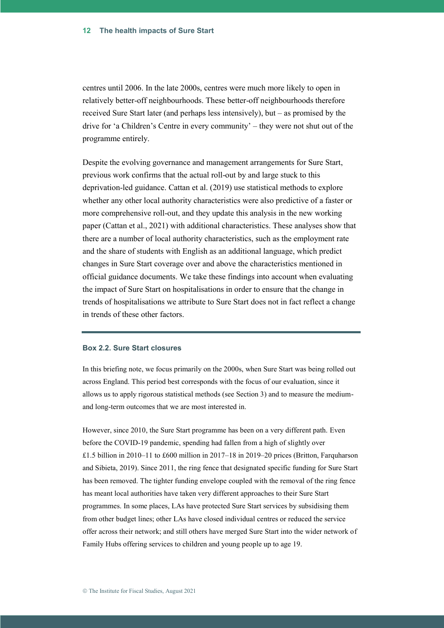centres until 2006. In the late 2000s, centres were much more likely to open in relatively better-off neighbourhoods. These better-off neighbourhoods therefore received Sure Start later (and perhaps less intensively), but – as promised by the drive for 'a Children's Centre in every community' – they were not shut out of the programme entirely.

Despite the evolving governance and management arrangements for Sure Start, previous work confirms that the actual roll-out by and large stuck to this deprivation-led guidance. Cattan et al. (2019) use statistical methods to explore whether any other local authority characteristics were also predictive of a faster or more comprehensive roll-out, and they update this analysis in the new working paper (Cattan et al., 2021) with additional characteristics. These analyses show that there are a number of local authority characteristics, such as the employment rate and the share of students with English as an additional language, which predict changes in Sure Start coverage over and above the characteristics mentioned in official guidance documents. We take these findings into account when evaluating the impact of Sure Start on hospitalisations in order to ensure that the change in trends of hospitalisations we attribute to Sure Start does not in fact reflect a change in trends of these other factors.

#### **Box 2.2. Sure Start closures**

In this briefing note, we focus primarily on the 2000s, when Sure Start was being rolled out across England. This period best corresponds with the focus of our evaluation, since it allows us to apply rigorous statistical methods (see Section 3) and to measure the mediumand long-term outcomes that we are most interested in.

However, since 2010, the Sure Start programme has been on a very different path. Even before the COVID-19 pandemic, spending had fallen from a high of slightly over £1.5 billion in 2010–11 to £600 million in 2017–18 in 2019–20 prices (Britton, Farquharson and Sibieta, 2019). Since 2011, the ring fence that designated specific funding for Sure Start has been removed. The tighter funding envelope coupled with the removal of the ring fence has meant local authorities have taken very different approaches to their Sure Start programmes. In some places, LAs have protected Sure Start services by subsidising them from other budget lines; other LAs have closed individual centres or reduced the service offer across their network; and still others have merged Sure Start into the wider network of Family Hubs offering services to children and young people up to age 19.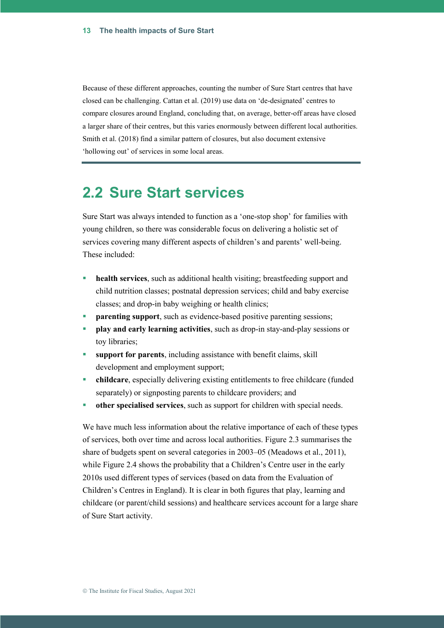Because of these different approaches, counting the number of Sure Start centres that have closed can be challenging. Cattan et al. (2019) use data on 'de-designated' centres to compare closures around England, concluding that, on average, better-off areas have closed a larger share of their centres, but this varies enormously between different local authorities. Smith et al. (2018) find a similar pattern of closures, but also document extensive 'hollowing out' of services in some local areas.

### **2.2 Sure Start services**

Sure Start was always intended to function as a 'one-stop shop' for families with young children, so there was considerable focus on delivering a holistic set of services covering many different aspects of children's and parents' well-being. These included:

- **health services**, such as additional health visiting; breastfeeding support and child nutrition classes; postnatal depression services; child and baby exercise classes; and drop-in baby weighing or health clinics;
- **parenting support**, such as evidence-based positive parenting sessions;
- **play and early learning activities**, such as drop-in stay-and-play sessions or toy libraries;
- support for parents, including assistance with benefit claims, skill development and employment support;
- **childcare**, especially delivering existing entitlements to free childcare (funded separately) or signposting parents to childcare providers; and
- **other specialised services**, such as support for children with special needs.

We have much less information about the relative importance of each of these types of services, both over time and across local authorities. Figure 2.3 summarises the share of budgets spent on several categories in 2003–05 (Meadows et al., 2011), while Figure 2.4 shows the probability that a Children's Centre user in the early 2010s used different types of services (based on data from the Evaluation of Children's Centres in England). It is clear in both figures that play, learning and childcare (or parent/child sessions) and healthcare services account for a large share of Sure Start activity.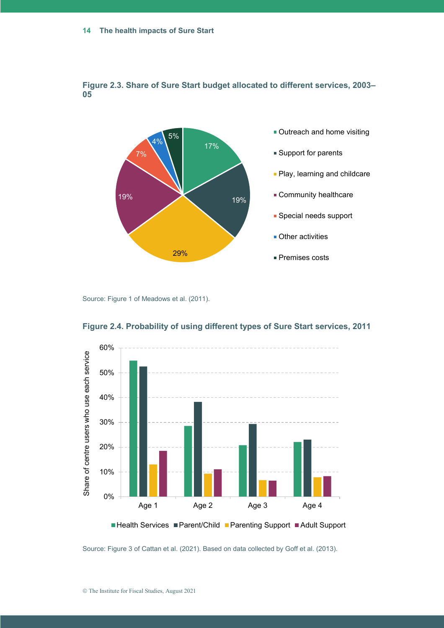

#### **Figure 2.3. Share of Sure Start budget allocated to different services, 2003– 05**

Source: Figure 1 of Meadows et al. (2011).



**Figure 2.4. Probability of using different types of Sure Start services, 2011**

Source: Figure 3 of Cattan et al. (2021). Based on data collected by Goff et al. (2013).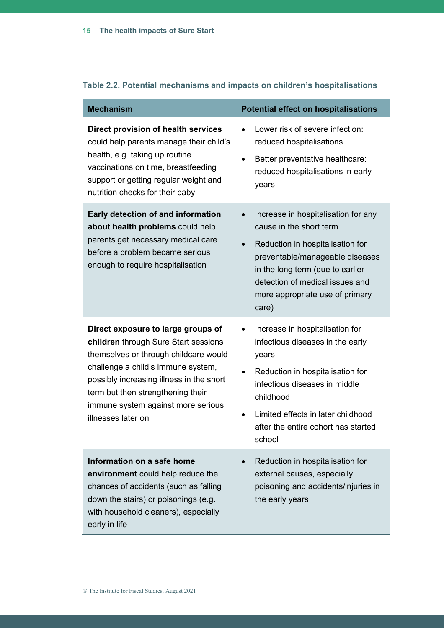| <b>Mechanism</b>                                                                                                                                                                                                                                                                                       | <b>Potential effect on hospitalisations</b>                                                                                                                                                                                                                           |
|--------------------------------------------------------------------------------------------------------------------------------------------------------------------------------------------------------------------------------------------------------------------------------------------------------|-----------------------------------------------------------------------------------------------------------------------------------------------------------------------------------------------------------------------------------------------------------------------|
| Direct provision of health services<br>could help parents manage their child's<br>health, e.g. taking up routine<br>vaccinations on time, breastfeeding<br>support or getting regular weight and<br>nutrition checks for their baby                                                                    | Lower risk of severe infection:<br>reduced hospitalisations<br>Better preventative healthcare:<br>$\bullet$<br>reduced hospitalisations in early<br>years                                                                                                             |
| Early detection of and information<br>about health problems could help<br>parents get necessary medical care<br>before a problem became serious<br>enough to require hospitalisation                                                                                                                   | Increase in hospitalisation for any<br>cause in the short term<br>Reduction in hospitalisation for<br>$\bullet$<br>preventable/manageable diseases<br>in the long term (due to earlier<br>detection of medical issues and<br>more appropriate use of primary<br>care) |
| Direct exposure to large groups of<br>children through Sure Start sessions<br>themselves or through childcare would<br>challenge a child's immune system,<br>possibly increasing illness in the short<br>term but then strengthening their<br>immune system against more serious<br>illnesses later on | Increase in hospitalisation for<br>$\bullet$<br>infectious diseases in the early<br>years<br>Reduction in hospitalisation for<br>infectious diseases in middle<br>childhood<br>Limited effects in later childhood<br>after the entire cohort has started<br>school    |
| Information on a safe home<br>environment could help reduce the<br>chances of accidents (such as falling<br>down the stairs) or poisonings (e.g.<br>with household cleaners), especially<br>early in life                                                                                              | Reduction in hospitalisation for<br>external causes, especially<br>poisoning and accidents/injuries in<br>the early years                                                                                                                                             |

#### **Table 2.2. Potential mechanisms and impacts on children's hospitalisations**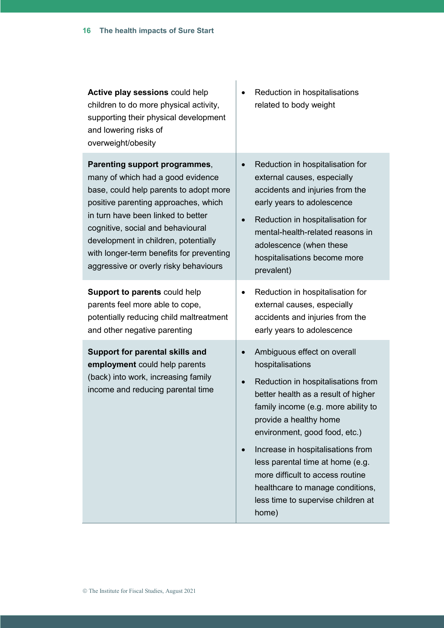| Active play sessions could help<br>children to do more physical activity,<br>supporting their physical development<br>and lowering risks of<br>overweight/obesity | Reduction in hospitalisations<br>related to body weight                                                                                                                                                                                                                                                                                                                                                                        |
|-------------------------------------------------------------------------------------------------------------------------------------------------------------------|--------------------------------------------------------------------------------------------------------------------------------------------------------------------------------------------------------------------------------------------------------------------------------------------------------------------------------------------------------------------------------------------------------------------------------|
| Parenting support programmes,                                                                                                                                     | Reduction in hospitalisation for                                                                                                                                                                                                                                                                                                                                                                                               |
| many of which had a good evidence                                                                                                                                 | external causes, especially                                                                                                                                                                                                                                                                                                                                                                                                    |
| base, could help parents to adopt more                                                                                                                            | accidents and injuries from the                                                                                                                                                                                                                                                                                                                                                                                                |
| positive parenting approaches, which                                                                                                                              | early years to adolescence                                                                                                                                                                                                                                                                                                                                                                                                     |
| in turn have been linked to better                                                                                                                                | Reduction in hospitalisation for                                                                                                                                                                                                                                                                                                                                                                                               |
| cognitive, social and behavioural                                                                                                                                 | mental-health-related reasons in                                                                                                                                                                                                                                                                                                                                                                                               |
| development in children, potentially                                                                                                                              | adolescence (when these                                                                                                                                                                                                                                                                                                                                                                                                        |
| with longer-term benefits for preventing                                                                                                                          | hospitalisations become more                                                                                                                                                                                                                                                                                                                                                                                                   |
| aggressive or overly risky behaviours                                                                                                                             | prevalent)                                                                                                                                                                                                                                                                                                                                                                                                                     |
| Support to parents could help                                                                                                                                     | Reduction in hospitalisation for                                                                                                                                                                                                                                                                                                                                                                                               |
| parents feel more able to cope,                                                                                                                                   | external causes, especially                                                                                                                                                                                                                                                                                                                                                                                                    |
| potentially reducing child maltreatment                                                                                                                           | accidents and injuries from the                                                                                                                                                                                                                                                                                                                                                                                                |
| and other negative parenting                                                                                                                                      | early years to adolescence                                                                                                                                                                                                                                                                                                                                                                                                     |
| Support for parental skills and<br>employment could help parents<br>(back) into work, increasing family<br>income and reducing parental time                      | Ambiguous effect on overall<br>hospitalisations<br>Reduction in hospitalisations from<br>better health as a result of higher<br>family income (e.g. more ability to<br>provide a healthy home<br>environment, good food, etc.)<br>Increase in hospitalisations from<br>less parental time at home (e.g.<br>more difficult to access routine<br>healthcare to manage conditions,<br>less time to supervise children at<br>home) |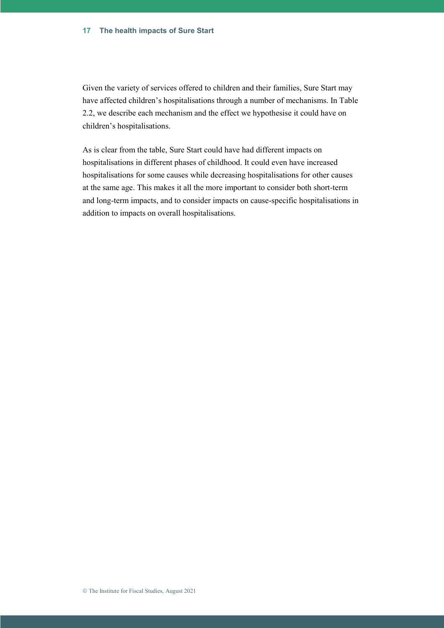Given the variety of services offered to children and their families, Sure Start may have affected children's hospitalisations through a number of mechanisms. In Table 2.2, we describe each mechanism and the effect we hypothesise it could have on children's hospitalisations.

As is clear from the table, Sure Start could have had different impacts on hospitalisations in different phases of childhood. It could even have increased hospitalisations for some causes while decreasing hospitalisations for other causes at the same age. This makes it all the more important to consider both short-term and long-term impacts, and to consider impacts on cause-specific hospitalisations in addition to impacts on overall hospitalisations.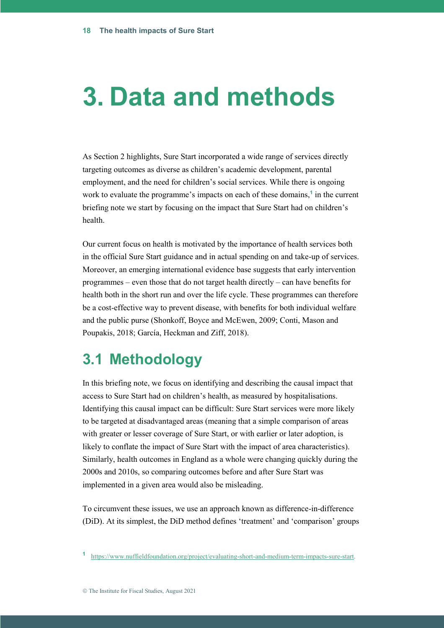# **3. Data and methods**

As Section 2 highlights, Sure Start incorporated a wide range of services directly targeting outcomes as diverse as children's academic development, parental employment, and the need for children's social services. While there is ongoing work to evaluate the programme's impacts on each of these domains,**<sup>1</sup>** in the current briefing note we start by focusing on the impact that Sure Start had on children's health.

Our current focus on health is motivated by the importance of health services both in the official Sure Start guidance and in actual spending on and take-up of services. Moreover, an emerging international evidence base suggests that early intervention programmes – even those that do not target health directly – can have benefits for health both in the short run and over the life cycle. These programmes can therefore be a cost-effective way to prevent disease, with benefits for both individual welfare and the public purse (Shonkoff, Boyce and McEwen, 2009; Conti, Mason and Poupakis, 2018; García, Heckman and Ziff, 2018).

### **3.1 Methodology**

In this briefing note, we focus on identifying and describing the causal impact that access to Sure Start had on children's health, as measured by hospitalisations. Identifying this causal impact can be difficult: Sure Start services were more likely to be targeted at disadvantaged areas (meaning that a simple comparison of areas with greater or lesser coverage of Sure Start, or with earlier or later adoption, is likely to conflate the impact of Sure Start with the impact of area characteristics). Similarly, health outcomes in England as a whole were changing quickly during the 2000s and 2010s, so comparing outcomes before and after Sure Start was implemented in a given area would also be misleading.

To circumvent these issues, we use an approach known as difference-in-difference (DiD). At its simplest, the DiD method defines 'treatment' and 'comparison' groups

**<sup>1</sup>** [https://www.nuffieldfoundation.org/project/evaluating-short-and-medium-term-impacts-sure-start.](https://www.nuffieldfoundation.org/project/evaluating-short-and-medium-term-impacts-sure-start)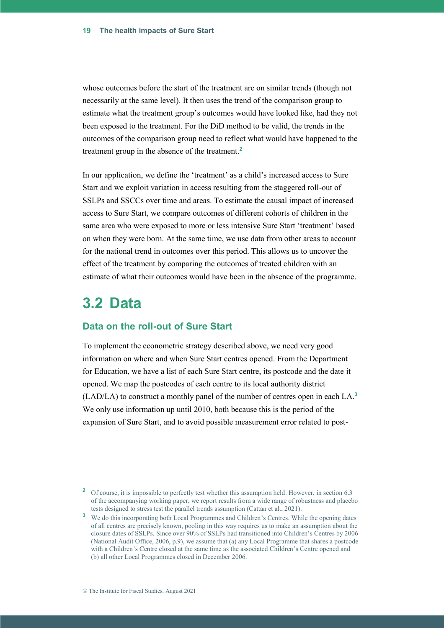whose outcomes before the start of the treatment are on similar trends (though not necessarily at the same level). It then uses the trend of the comparison group to estimate what the treatment group's outcomes would have looked like, had they not been exposed to the treatment. For the DiD method to be valid, the trends in the outcomes of the comparison group need to reflect what would have happened to the treatment group in the absence of the treatment.**<sup>2</sup>**

In our application, we define the 'treatment' as a child's increased access to Sure Start and we exploit variation in access resulting from the staggered roll-out of SSLPs and SSCCs over time and areas. To estimate the causal impact of increased access to Sure Start, we compare outcomes of different cohorts of children in the same area who were exposed to more or less intensive Sure Start 'treatment' based on when they were born. At the same time, we use data from other areas to account for the national trend in outcomes over this period. This allows us to uncover the effect of the treatment by comparing the outcomes of treated children with an estimate of what their outcomes would have been in the absence of the programme.

### **3.2 Data**

#### **Data on the roll-out of Sure Start**

To implement the econometric strategy described above, we need very good information on where and when Sure Start centres opened. From the Department for Education, we have a list of each Sure Start centre, its postcode and the date it opened. We map the postcodes of each centre to its local authority district (LAD/LA) to construct a monthly panel of the number of centres open in each LA.**<sup>3</sup>** We only use information up until 2010, both because this is the period of the expansion of Sure Start, and to avoid possible measurement error related to post-

<sup>&</sup>lt;sup>2</sup> Of course, it is impossible to perfectly test whether this assumption held. However, in section 6.3 of the accompanying working paper, we report results from a wide range of robustness and placebo tests designed to stress test the parallel trends assumption (Cattan et al., 2021).

**<sup>3</sup>** We do this incorporating both Local Programmes and Children's Centres. While the opening dates of all centres are precisely known, pooling in this way requires us to make an assumption about the closure dates of SSLPs. Since over 90% of SSLPs had transitioned into Children's Centres by 2006 (National Audit Office, 2006, p.9), we assume that (a) any Local Programme that shares a postcode with a Children's Centre closed at the same time as the associated Children's Centre opened and (b) all other Local Programmes closed in December 2006.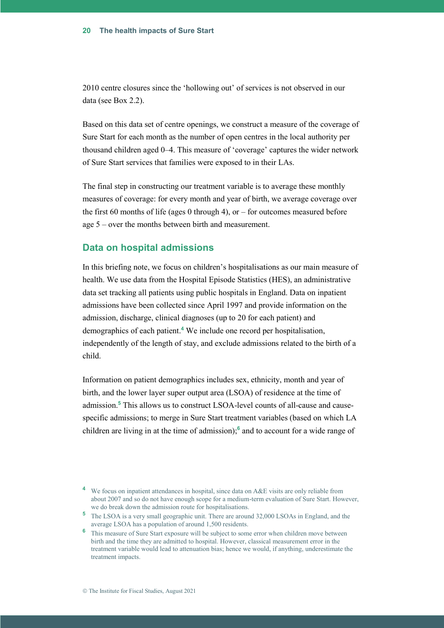2010 centre closures since the 'hollowing out' of services is not observed in our data (see Box 2.2).

Based on this data set of centre openings, we construct a measure of the coverage of Sure Start for each month as the number of open centres in the local authority per thousand children aged 0–4. This measure of 'coverage' captures the wider network of Sure Start services that families were exposed to in their LAs.

The final step in constructing our treatment variable is to average these monthly measures of coverage: for every month and year of birth, we average coverage over the first 60 months of life (ages 0 through 4), or – for outcomes measured before age 5 – over the months between birth and measurement.

#### **Data on hospital admissions**

In this briefing note, we focus on children's hospitalisations as our main measure of health. We use data from the Hospital Episode Statistics (HES), an administrative data set tracking all patients using public hospitals in England. Data on inpatient admissions have been collected since April 1997 and provide information on the admission, discharge, clinical diagnoses (up to 20 for each patient) and demographics of each patient.**<sup>4</sup>** We include one record per hospitalisation, independently of the length of stay, and exclude admissions related to the birth of a child.

Information on patient demographics includes sex, ethnicity, month and year of birth, and the lower layer super output area (LSOA) of residence at the time of admission.**<sup>5</sup>** This allows us to construct LSOA-level counts of all-cause and causespecific admissions; to merge in Sure Start treatment variables (based on which LA children are living in at the time of admission); **6** and to account for a wide range of

<sup>&</sup>lt;sup>4</sup> We focus on inpatient attendances in hospital, since data on A&E visits are only reliable from about 2007 and so do not have enough scope for a medium-term evaluation of Sure Start. However, we do break down the admission route for hospitalisations.

**<sup>5</sup>** The LSOA is a very small geographic unit. There are around 32,000 LSOAs in England, and the average LSOA has a population of around 1,500 residents.

**<sup>6</sup>** This measure of Sure Start exposure will be subject to some error when children move between birth and the time they are admitted to hospital. However, classical measurement error in the treatment variable would lead to attenuation bias; hence we would, if anything, underestimate the treatment impacts.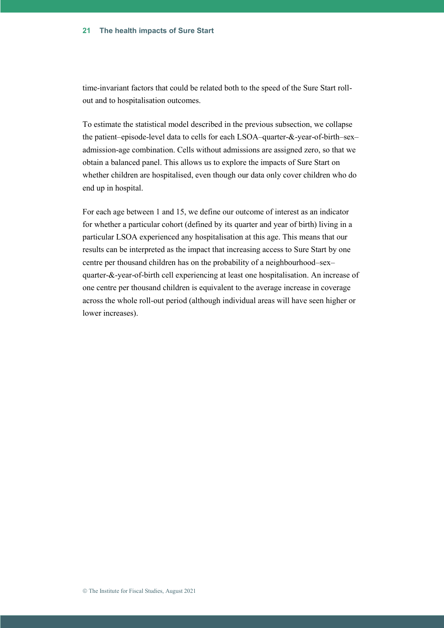time-invariant factors that could be related both to the speed of the Sure Start rollout and to hospitalisation outcomes.

To estimate the statistical model described in the previous subsection, we collapse the patient–episode-level data to cells for each LSOA–quarter-&-year-of-birth–sex– admission-age combination. Cells without admissions are assigned zero, so that we obtain a balanced panel. This allows us to explore the impacts of Sure Start on whether children are hospitalised, even though our data only cover children who do end up in hospital.

For each age between 1 and 15, we define our outcome of interest as an indicator for whether a particular cohort (defined by its quarter and year of birth) living in a particular LSOA experienced any hospitalisation at this age. This means that our results can be interpreted as the impact that increasing access to Sure Start by one centre per thousand children has on the probability of a neighbourhood–sex– quarter-&-year-of-birth cell experiencing at least one hospitalisation. An increase of one centre per thousand children is equivalent to the average increase in coverage across the whole roll-out period (although individual areas will have seen higher or lower increases).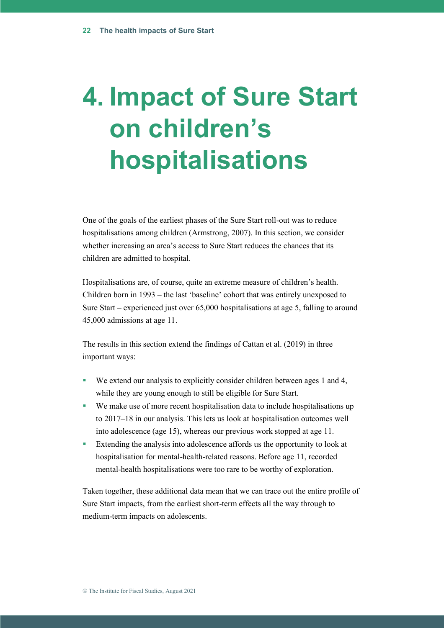# **4. Impact of Sure Start on children's hospitalisations**

One of the goals of the earliest phases of the Sure Start roll-out was to reduce hospitalisations among children (Armstrong, 2007). In this section, we consider whether increasing an area's access to Sure Start reduces the chances that its children are admitted to hospital.

Hospitalisations are, of course, quite an extreme measure of children's health. Children born in 1993 – the last 'baseline' cohort that was entirely unexposed to Sure Start – experienced just over 65,000 hospitalisations at age 5, falling to around 45,000 admissions at age 11.

The results in this section extend the findings of Cattan et al. (2019) in three important ways:

- We extend our analysis to explicitly consider children between ages 1 and 4, while they are young enough to still be eligible for Sure Start.
- We make use of more recent hospitalisation data to include hospitalisations up to 2017–18 in our analysis. This lets us look at hospitalisation outcomes well into adolescence (age 15), whereas our previous work stopped at age 11.
- Extending the analysis into adolescence affords us the opportunity to look at hospitalisation for mental-health-related reasons. Before age 11, recorded mental-health hospitalisations were too rare to be worthy of exploration.

Taken together, these additional data mean that we can trace out the entire profile of Sure Start impacts, from the earliest short-term effects all the way through to medium-term impacts on adolescents.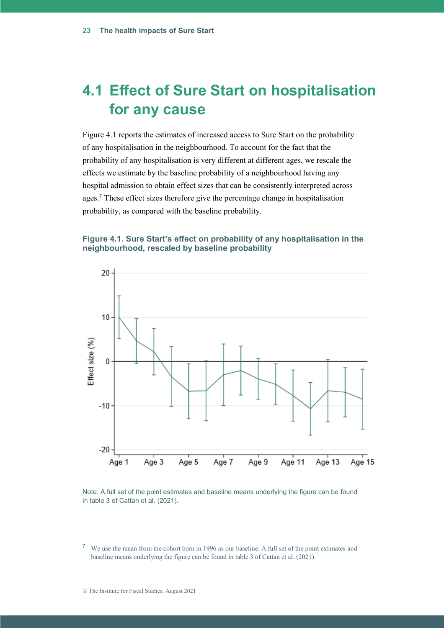# **4.1 Effect of Sure Start on hospitalisation for any cause**

Figure 4.1 reports the estimates of increased access to Sure Start on the probability of any hospitalisation in the neighbourhood. To account for the fact that the probability of any hospitalisation is very different at different ages, we rescale the effects we estimate by the baseline probability of a neighbourhood having any hospital admission to obtain effect sizes that can be consistently interpreted across ages.**<sup>7</sup>** These effect sizes therefore give the percentage change in hospitalisation probability, as compared with the baseline probability.

#### **Figure 4.1. Sure Start's effect on probability of any hospitalisation in the neighbourhood, rescaled by baseline probability**



Note: A full set of the point estimates and baseline means underlying the figure can be found in table 3 of Cattan et al. (2021).

**<sup>7</sup>** We use the mean from the cohort born in 1996 as our baseline. A full set of the point estimates and baseline means underlying the figure can be found in table 3 of Cattan et al. (2021).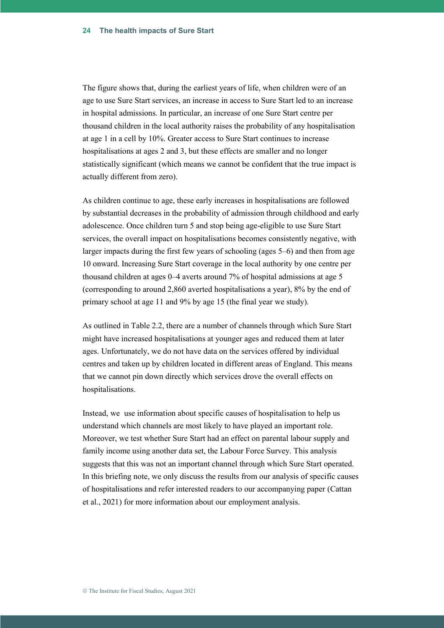The figure shows that, during the earliest years of life, when children were of an age to use Sure Start services, an increase in access to Sure Start led to an increase in hospital admissions. In particular, an increase of one Sure Start centre per thousand children in the local authority raises the probability of any hospitalisation at age 1 in a cell by 10%. Greater access to Sure Start continues to increase hospitalisations at ages 2 and 3, but these effects are smaller and no longer statistically significant (which means we cannot be confident that the true impact is actually different from zero).

As children continue to age, these early increases in hospitalisations are followed by substantial decreases in the probability of admission through childhood and early adolescence. Once children turn 5 and stop being age-eligible to use Sure Start services, the overall impact on hospitalisations becomes consistently negative, with larger impacts during the first few years of schooling (ages 5–6) and then from age 10 onward. Increasing Sure Start coverage in the local authority by one centre per thousand children at ages 0–4 averts around 7% of hospital admissions at age 5 (corresponding to around 2,860 averted hospitalisations a year), 8% by the end of primary school at age 11 and 9% by age 15 (the final year we study).

As outlined in Table 2.2, there are a number of channels through which Sure Start might have increased hospitalisations at younger ages and reduced them at later ages. Unfortunately, we do not have data on the services offered by individual centres and taken up by children located in different areas of England. This means that we cannot pin down directly which services drove the overall effects on hospitalisations.

Instead, we use information about specific causes of hospitalisation to help us understand which channels are most likely to have played an important role. Moreover, we test whether Sure Start had an effect on parental labour supply and family income using another data set, the Labour Force Survey. This analysis suggests that this was not an important channel through which Sure Start operated. In this briefing note, we only discuss the results from our analysis of specific causes of hospitalisations and refer interested readers to our accompanying paper (Cattan et al., 2021) for more information about our employment analysis.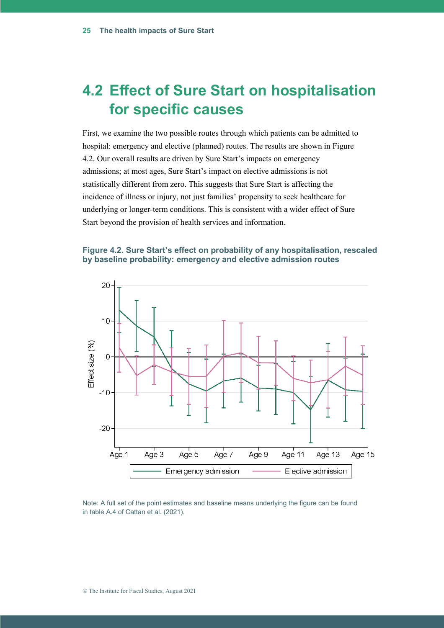## **4.2 Effect of Sure Start on hospitalisation for specific causes**

First, we examine the two possible routes through which patients can be admitted to hospital: emergency and elective (planned) routes. The results are shown in Figure 4.2. Our overall results are driven by Sure Start's impacts on emergency admissions; at most ages, Sure Start's impact on elective admissions is not statistically different from zero. This suggests that Sure Start is affecting the incidence of illness or injury, not just families' propensity to seek healthcare for underlying or longer-term conditions. This is consistent with a wider effect of Sure Start beyond the provision of health services and information.

#### **Figure 4.2. Sure Start's effect on probability of any hospitalisation, rescaled by baseline probability: emergency and elective admission routes**



Note: A full set of the point estimates and baseline means underlying the figure can be found in table A.4 of Cattan et al. (2021).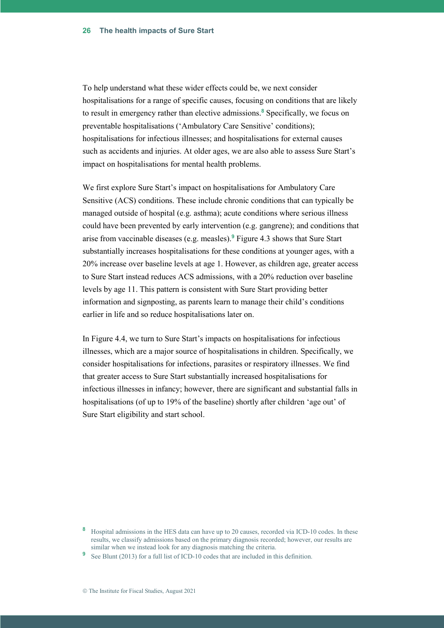To help understand what these wider effects could be, we next consider hospitalisations for a range of specific causes, focusing on conditions that are likely to result in emergency rather than elective admissions.**<sup>8</sup>** Specifically, we focus on preventable hospitalisations ('Ambulatory Care Sensitive' conditions); hospitalisations for infectious illnesses; and hospitalisations for external causes such as accidents and injuries. At older ages, we are also able to assess Sure Start's impact on hospitalisations for mental health problems.

We first explore Sure Start's impact on hospitalisations for Ambulatory Care Sensitive (ACS) conditions. These include chronic conditions that can typically be managed outside of hospital (e.g. asthma); acute conditions where serious illness could have been prevented by early intervention (e.g. gangrene); and conditions that arise from vaccinable diseases (e.g. measles).**<sup>9</sup>** Figure 4.3 shows that Sure Start substantially increases hospitalisations for these conditions at younger ages, with a 20% increase over baseline levels at age 1. However, as children age, greater access to Sure Start instead reduces ACS admissions, with a 20% reduction over baseline levels by age 11. This pattern is consistent with Sure Start providing better information and signposting, as parents learn to manage their child's conditions earlier in life and so reduce hospitalisations later on.

In Figure 4.4, we turn to Sure Start's impacts on hospitalisations for infectious illnesses, which are a major source of hospitalisations in children. Specifically, we consider hospitalisations for infections, parasites or respiratory illnesses. We find that greater access to Sure Start substantially increased hospitalisations for infectious illnesses in infancy; however, there are significant and substantial falls in hospitalisations (of up to 19% of the baseline) shortly after children 'age out' of Sure Start eligibility and start school.

**<sup>8</sup>** Hospital admissions in the HES data can have up to 20 causes, recorded via ICD-10 codes. In these results, we classify admissions based on the primary diagnosis recorded; however, our results are similar when we instead look for any diagnosis matching the criteria.

<sup>&</sup>lt;sup>9</sup> See Blunt (2013) for a full list of ICD-10 codes that are included in this definition.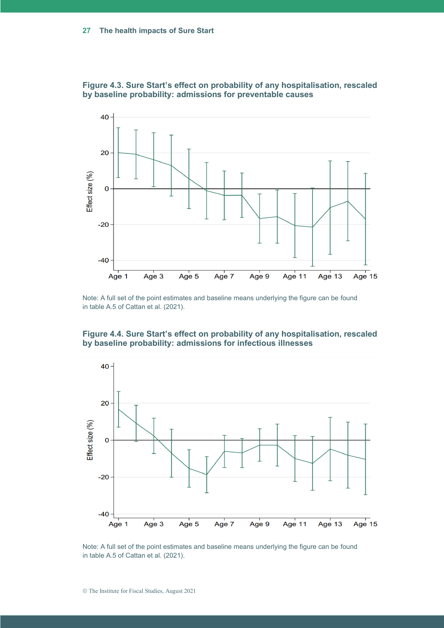

**Figure 4.3. Sure Start's effect on probability of any hospitalisation, rescaled by baseline probability: admissions for preventable causes**

Note: A full set of the point estimates and baseline means underlying the figure can be found in table A.5 of Cattan et al. (2021).





Note: A full set of the point estimates and baseline means underlying the figure can be found in table A.5 of Cattan et al. (2021).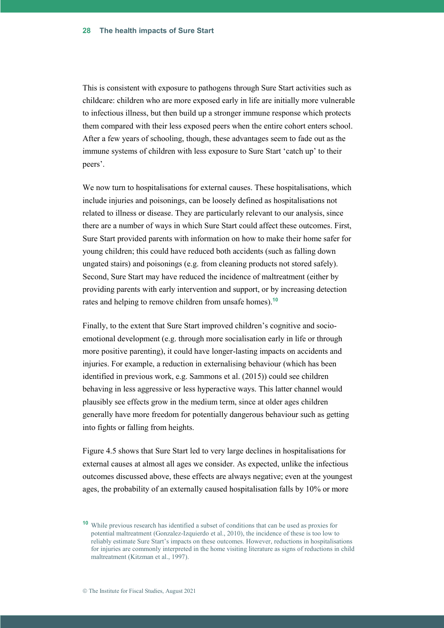This is consistent with exposure to pathogens through Sure Start activities such as childcare: children who are more exposed early in life are initially more vulnerable to infectious illness, but then build up a stronger immune response which protects them compared with their less exposed peers when the entire cohort enters school. After a few years of schooling, though, these advantages seem to fade out as the immune systems of children with less exposure to Sure Start 'catch up' to their peers'.

We now turn to hospitalisations for external causes. These hospitalisations, which include injuries and poisonings, can be loosely defined as hospitalisations not related to illness or disease. They are particularly relevant to our analysis, since there are a number of ways in which Sure Start could affect these outcomes. First, Sure Start provided parents with information on how to make their home safer for young children; this could have reduced both accidents (such as falling down ungated stairs) and poisonings (e.g. from cleaning products not stored safely). Second, Sure Start may have reduced the incidence of maltreatment (either by providing parents with early intervention and support, or by increasing detection rates and helping to remove children from unsafe homes).**<sup>10</sup>**

Finally, to the extent that Sure Start improved children's cognitive and socioemotional development (e.g. through more socialisation early in life or through more positive parenting), it could have longer-lasting impacts on accidents and injuries. For example, a reduction in externalising behaviour (which has been identified in previous work, e.g. Sammons et al. (2015)) could see children behaving in less aggressive or less hyperactive ways. This latter channel would plausibly see effects grow in the medium term, since at older ages children generally have more freedom for potentially dangerous behaviour such as getting into fights or falling from heights.

Figure 4.5 shows that Sure Start led to very large declines in hospitalisations for external causes at almost all ages we consider. As expected, unlike the infectious outcomes discussed above, these effects are always negative; even at the youngest ages, the probability of an externally caused hospitalisation falls by 10% or more

**<sup>10</sup>** While previous research has identified a subset of conditions that can be used as proxies for potential maltreatment (Gonzalez-Izquierdo et al., 2010), the incidence of these is too low to reliably estimate Sure Start's impacts on these outcomes. However, reductions in hospitalisations for injuries are commonly interpreted in the home visiting literature as signs of reductions in child maltreatment (Kitzman et al., 1997).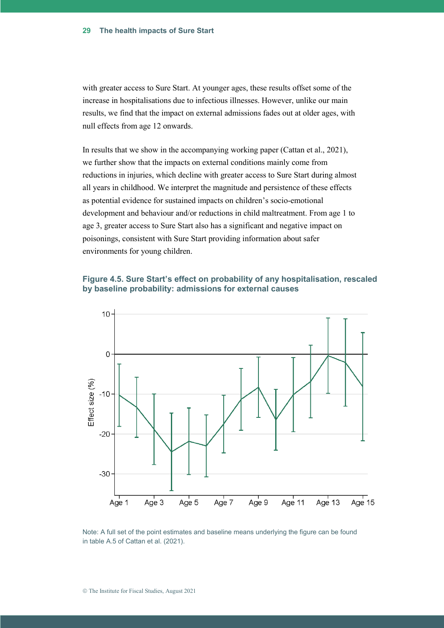with greater access to Sure Start. At younger ages, these results offset some of the increase in hospitalisations due to infectious illnesses. However, unlike our main results, we find that the impact on external admissions fades out at older ages, with null effects from age 12 onwards.

In results that we show in the accompanying working paper (Cattan et al., 2021), we further show that the impacts on external conditions mainly come from reductions in injuries, which decline with greater access to Sure Start during almost all years in childhood. We interpret the magnitude and persistence of these effects as potential evidence for sustained impacts on children's socio-emotional development and behaviour and/or reductions in child maltreatment. From age 1 to age 3, greater access to Sure Start also has a significant and negative impact on poisonings, consistent with Sure Start providing information about safer environments for young children.

#### **Figure 4.5. Sure Start's effect on probability of any hospitalisation, rescaled by baseline probability: admissions for external causes**



Note: A full set of the point estimates and baseline means underlying the figure can be found in table A.5 of Cattan et al. (2021).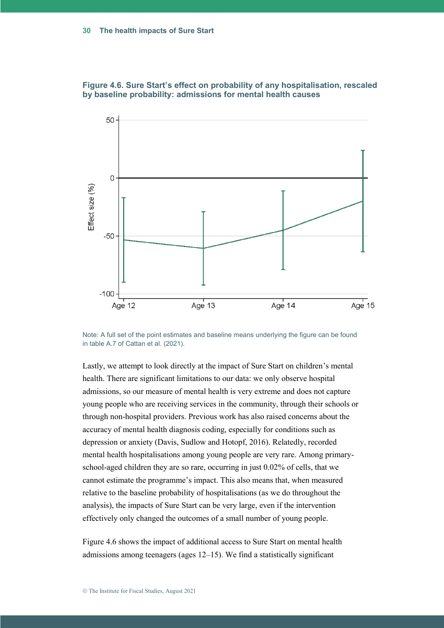

**Figure 4.6. Sure Start's effect on probability of any hospitalisation, rescaled by baseline probability: admissions for mental health causes**

Note: A full set of the point estimates and baseline means underlying the figure can be found in table A.7 of Cattan et al. (2021).

Lastly, we attempt to look directly at the impact of Sure Start on children's mental health. There are significant limitations to our data: we only observe hospital admissions, so our measure of mental health is very extreme and does not capture young people who are receiving services in the community, through their schools or through non-hospital providers. Previous work has also raised concerns about the accuracy of mental health diagnosis coding, especially for conditions such as depression or anxiety (Davis, Sudlow and Hotopf, 2016). Relatedly, recorded mental health hospitalisations among young people are very rare. Among primaryschool-aged children they are so rare, occurring in just 0.02% of cells, that we cannot estimate the programme's impact. This also means that, when measured relative to the baseline probability of hospitalisations (as we do throughout the analysis), the impacts of Sure Start can be very large, even if the intervention effectively only changed the outcomes of a small number of young people.

Figure 4.6 shows the impact of additional access to Sure Start on mental health admissions among teenagers (ages 12–15). We find a statistically significant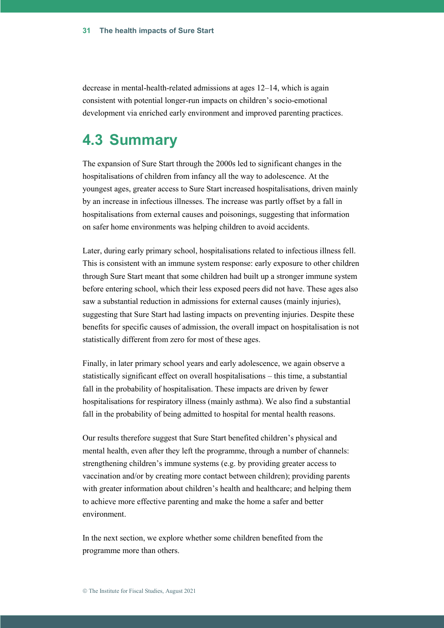decrease in mental-health-related admissions at ages 12–14, which is again consistent with potential longer-run impacts on children's socio-emotional development via enriched early environment and improved parenting practices.

### **4.3 Summary**

The expansion of Sure Start through the 2000s led to significant changes in the hospitalisations of children from infancy all the way to adolescence. At the youngest ages, greater access to Sure Start increased hospitalisations, driven mainly by an increase in infectious illnesses. The increase was partly offset by a fall in hospitalisations from external causes and poisonings, suggesting that information on safer home environments was helping children to avoid accidents.

Later, during early primary school, hospitalisations related to infectious illness fell. This is consistent with an immune system response: early exposure to other children through Sure Start meant that some children had built up a stronger immune system before entering school, which their less exposed peers did not have. These ages also saw a substantial reduction in admissions for external causes (mainly injuries), suggesting that Sure Start had lasting impacts on preventing injuries. Despite these benefits for specific causes of admission, the overall impact on hospitalisation is not statistically different from zero for most of these ages.

Finally, in later primary school years and early adolescence, we again observe a statistically significant effect on overall hospitalisations – this time, a substantial fall in the probability of hospitalisation. These impacts are driven by fewer hospitalisations for respiratory illness (mainly asthma). We also find a substantial fall in the probability of being admitted to hospital for mental health reasons.

Our results therefore suggest that Sure Start benefited children's physical and mental health, even after they left the programme, through a number of channels: strengthening children's immune systems (e.g. by providing greater access to vaccination and/or by creating more contact between children); providing parents with greater information about children's health and healthcare; and helping them to achieve more effective parenting and make the home a safer and better environment.

In the next section, we explore whether some children benefited from the programme more than others.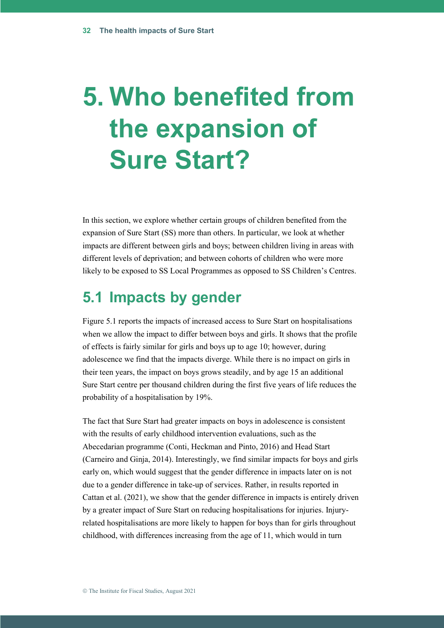# **5. Who benefited from the expansion of Sure Start?**

In this section, we explore whether certain groups of children benefited from the expansion of Sure Start (SS) more than others. In particular, we look at whether impacts are different between girls and boys; between children living in areas with different levels of deprivation; and between cohorts of children who were more likely to be exposed to SS Local Programmes as opposed to SS Children's Centres.

### **5.1 Impacts by gender**

Figure 5.1 reports the impacts of increased access to Sure Start on hospitalisations when we allow the impact to differ between boys and girls. It shows that the profile of effects is fairly similar for girls and boys up to age 10; however, during adolescence we find that the impacts diverge. While there is no impact on girls in their teen years, the impact on boys grows steadily, and by age 15 an additional Sure Start centre per thousand children during the first five years of life reduces the probability of a hospitalisation by 19%.

The fact that Sure Start had greater impacts on boys in adolescence is consistent with the results of early childhood intervention evaluations, such as the Abecedarian programme (Conti, Heckman and Pinto, 2016) and Head Start (Carneiro and Ginja, 2014). Interestingly, we find similar impacts for boys and girls early on, which would suggest that the gender difference in impacts later on is not due to a gender difference in take-up of services. Rather, in results reported in Cattan et al. (2021), we show that the gender difference in impacts is entirely driven by a greater impact of Sure Start on reducing hospitalisations for injuries. Injuryrelated hospitalisations are more likely to happen for boys than for girls throughout childhood, with differences increasing from the age of 11, which would in turn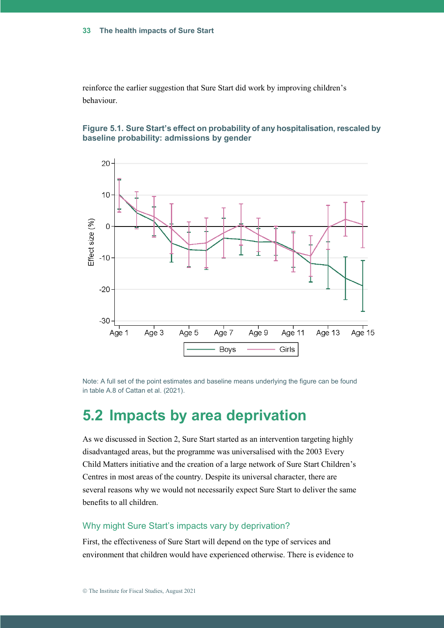reinforce the earlier suggestion that Sure Start did work by improving children's behaviour.

**Figure 5.1. Sure Start's effect on probability of any hospitalisation, rescaled by baseline probability: admissions by gender**



Note: A full set of the point estimates and baseline means underlying the figure can be found in table A.8 of Cattan et al. (2021).

### **5.2 Impacts by area deprivation**

As we discussed in Section 2, Sure Start started as an intervention targeting highly disadvantaged areas, but the programme was universalised with the 2003 Every Child Matters initiative and the creation of a large network of Sure Start Children's Centres in most areas of the country. Despite its universal character, there are several reasons why we would not necessarily expect Sure Start to deliver the same benefits to all children.

#### Why might Sure Start's impacts vary by deprivation?

First, the effectiveness of Sure Start will depend on the type of services and environment that children would have experienced otherwise. There is evidence to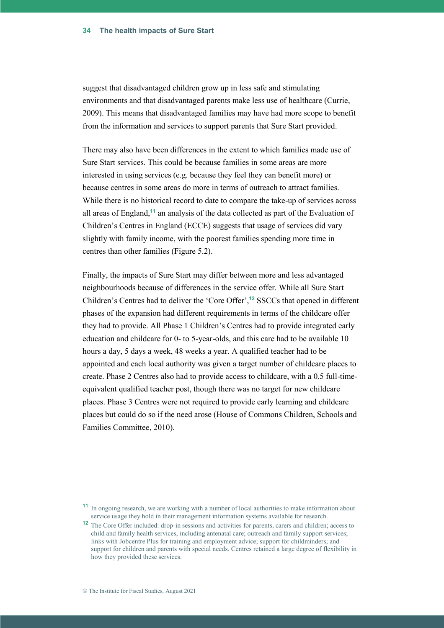suggest that disadvantaged children grow up in less safe and stimulating environments and that disadvantaged parents make less use of healthcare (Currie, 2009). This means that disadvantaged families may have had more scope to benefit from the information and services to support parents that Sure Start provided.

There may also have been differences in the extent to which families made use of Sure Start services. This could be because families in some areas are more interested in using services (e.g. because they feel they can benefit more) or because centres in some areas do more in terms of outreach to attract families. While there is no historical record to date to compare the take-up of services across all areas of England,**<sup>11</sup>** an analysis of the data collected as part of the Evaluation of Children's Centres in England (ECCE) suggests that usage of services did vary slightly with family income, with the poorest families spending more time in centres than other families (Figure 5.2).

Finally, the impacts of Sure Start may differ between more and less advantaged neighbourhoods because of differences in the service offer. While all Sure Start Children's Centres had to deliver the 'Core Offer',**<sup>12</sup>** SSCCs that opened in different phases of the expansion had different requirements in terms of the childcare offer they had to provide. All Phase 1 Children's Centres had to provide integrated early education and childcare for 0- to 5-year-olds, and this care had to be available 10 hours a day, 5 days a week, 48 weeks a year. A qualified teacher had to be appointed and each local authority was given a target number of childcare places to create. Phase 2 Centres also had to provide access to childcare, with a 0.5 full-timeequivalent qualified teacher post, though there was no target for new childcare places. Phase 3 Centres were not required to provide early learning and childcare places but could do so if the need arose (House of Commons Children, Schools and Families Committee, 2010).

**<sup>11</sup>** In ongoing research, we are working with a number of local authorities to make information about service usage they hold in their management information systems available for research.

**<sup>12</sup>** The Core Offer included: drop-in sessions and activities for parents, carers and children; access to child and family health services, including antenatal care; outreach and family support services; links with Jobcentre Plus for training and employment advice; support for childminders; and support for children and parents with special needs. Centres retained a large degree of flexibility in how they provided these services.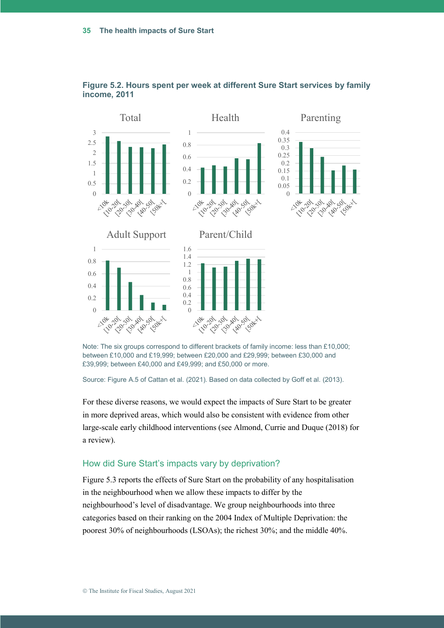

**Figure 5.2. Hours spent per week at different Sure Start services by family income, 2011**

Note: The six groups correspond to different brackets of family income: less than £10,000; between £10,000 and £19,999; between £20,000 and £29,999; between £30,000 and £39,999; between £40,000 and £49,999; and £50,000 or more.

Source: Figure A.5 of Cattan et al. (2021). Based on data collected by Goff et al. (2013).

For these diverse reasons, we would expect the impacts of Sure Start to be greater in more deprived areas, which would also be consistent with evidence from other large-scale early childhood interventions (see Almond, Currie and Duque (2018) for a review).

#### How did Sure Start's impacts vary by deprivation?

Figure 5.3 reports the effects of Sure Start on the probability of any hospitalisation in the neighbourhood when we allow these impacts to differ by the neighbourhood's level of disadvantage. We group neighbourhoods into three categories based on their ranking on the 2004 Index of Multiple Deprivation: the poorest 30% of neighbourhoods (LSOAs); the richest 30%; and the middle 40%.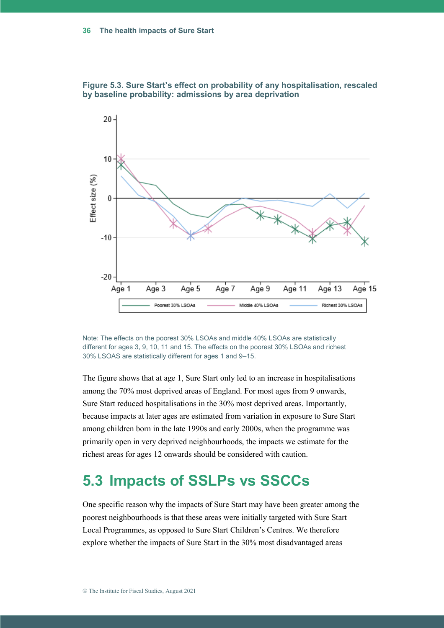

**Figure 5.3. Sure Start's effect on probability of any hospitalisation, rescaled by baseline probability: admissions by area deprivation**

Note: The effects on the poorest 30% LSOAs and middle 40% LSOAs are statistically different for ages 3, 9, 10, 11 and 15. The effects on the poorest 30% LSOAs and richest 30% LSOAS are statistically different for ages 1 and 9–15.

The figure shows that at age 1, Sure Start only led to an increase in hospitalisations among the 70% most deprived areas of England. For most ages from 9 onwards, Sure Start reduced hospitalisations in the 30% most deprived areas. Importantly, because impacts at later ages are estimated from variation in exposure to Sure Start among children born in the late 1990s and early 2000s, when the programme was primarily open in very deprived neighbourhoods, the impacts we estimate for the richest areas for ages 12 onwards should be considered with caution.

## **5.3 Impacts of SSLPs vs SSCCs**

One specific reason why the impacts of Sure Start may have been greater among the poorest neighbourhoods is that these areas were initially targeted with Sure Start Local Programmes, as opposed to Sure Start Children's Centres. We therefore explore whether the impacts of Sure Start in the 30% most disadvantaged areas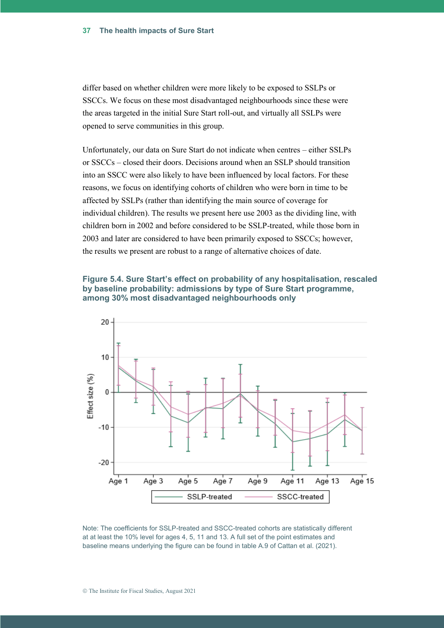differ based on whether children were more likely to be exposed to SSLPs or SSCCs. We focus on these most disadvantaged neighbourhoods since these were the areas targeted in the initial Sure Start roll-out, and virtually all SSLPs were opened to serve communities in this group.

Unfortunately, our data on Sure Start do not indicate when centres – either SSLPs or SSCCs – closed their doors. Decisions around when an SSLP should transition into an SSCC were also likely to have been influenced by local factors. For these reasons, we focus on identifying cohorts of children who were born in time to be affected by SSLPs (rather than identifying the main source of coverage for individual children). The results we present here use 2003 as the dividing line, with children born in 2002 and before considered to be SSLP-treated, while those born in 2003 and later are considered to have been primarily exposed to SSCCs; however, the results we present are robust to a range of alternative choices of date.

#### **Figure 5.4. Sure Start's effect on probability of any hospitalisation, rescaled by baseline probability: admissions by type of Sure Start programme, among 30% most disadvantaged neighbourhoods only**



Note: The coefficients for SSLP-treated and SSCC-treated cohorts are statistically different at at least the 10% level for ages 4, 5, 11 and 13. A full set of the point estimates and baseline means underlying the figure can be found in table A.9 of Cattan et al. (2021).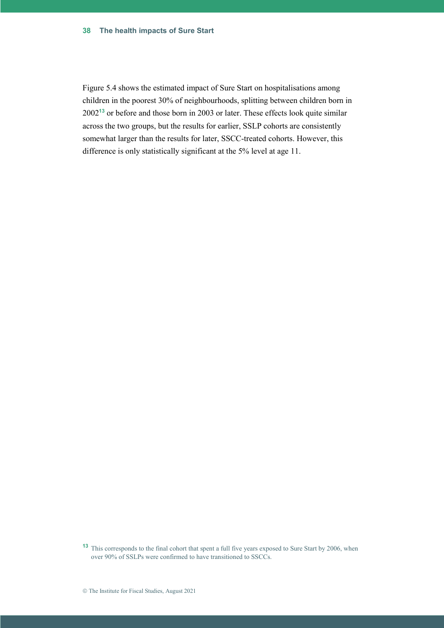#### **The health impacts of Sure Start 38**

Figure 5.4 shows the estimated impact of Sure Start on hospitalisations among children in the poorest 30% of neighbourhoods, splitting between children born in 2002**<sup>13</sup>** or before and those born in 2003 or later. These effects look quite similar across the two groups, but the results for earlier, SSLP cohorts are consistently somewhat larger than the results for later, SSCC-treated cohorts. However, this difference is only statistically significant at the 5% level at age 11.

**<sup>13</sup>** This corresponds to the final cohort that spent a full five years exposed to Sure Start by 2006, when over 90% of SSLPs were confirmed to have transitioned to SSCCs.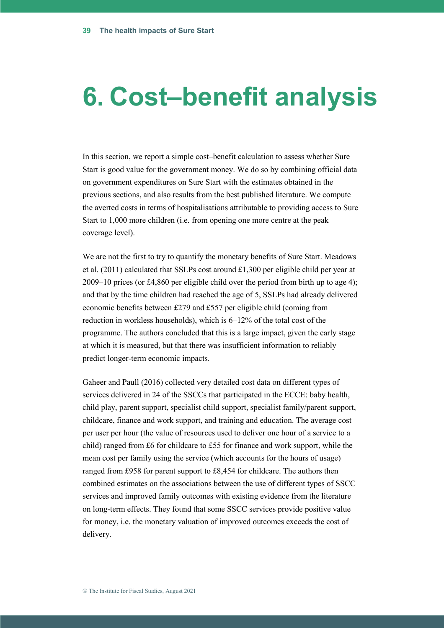# **6. Cost–benefit analysis**

In this section, we report a simple cost–benefit calculation to assess whether Sure Start is good value for the government money. We do so by combining official data on government expenditures on Sure Start with the estimates obtained in the previous sections, and also results from the best published literature. We compute the averted costs in terms of hospitalisations attributable to providing access to Sure Start to 1,000 more children (i.e. from opening one more centre at the peak coverage level).

We are not the first to try to quantify the monetary benefits of Sure Start. Meadows et al. (2011) calculated that SSLPs cost around £1,300 per eligible child per year at 2009–10 prices (or £4,860 per eligible child over the period from birth up to age 4); and that by the time children had reached the age of 5, SSLPs had already delivered economic benefits between £279 and £557 per eligible child (coming from reduction in workless households), which is 6–12% of the total cost of the programme. The authors concluded that this is a large impact, given the early stage at which it is measured, but that there was insufficient information to reliably predict longer-term economic impacts.

Gaheer and Paull (2016) collected very detailed cost data on different types of services delivered in 24 of the SSCCs that participated in the ECCE: baby health, child play, parent support, specialist child support, specialist family/parent support, childcare, finance and work support, and training and education. The average cost per user per hour (the value of resources used to deliver one hour of a service to a child) ranged from £6 for childcare to £55 for finance and work support, while the mean cost per family using the service (which accounts for the hours of usage) ranged from £958 for parent support to £8,454 for childcare. The authors then combined estimates on the associations between the use of different types of SSCC services and improved family outcomes with existing evidence from the literature on long-term effects. They found that some SSCC services provide positive value for money, i.e. the monetary valuation of improved outcomes exceeds the cost of delivery.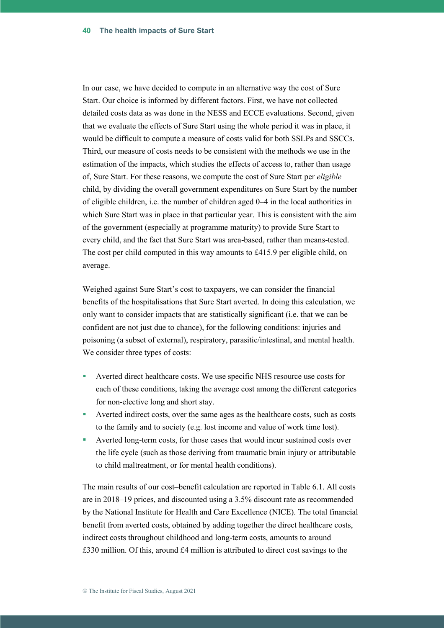In our case, we have decided to compute in an alternative way the cost of Sure Start. Our choice is informed by different factors. First, we have not collected detailed costs data as was done in the NESS and ECCE evaluations. Second, given that we evaluate the effects of Sure Start using the whole period it was in place, it would be difficult to compute a measure of costs valid for both SSLPs and SSCCs. Third, our measure of costs needs to be consistent with the methods we use in the estimation of the impacts, which studies the effects of access to, rather than usage of, Sure Start. For these reasons, we compute the cost of Sure Start per *eligible*  child, by dividing the overall government expenditures on Sure Start by the number of eligible children, i.e. the number of children aged 0–4 in the local authorities in which Sure Start was in place in that particular year. This is consistent with the aim of the government (especially at programme maturity) to provide Sure Start to every child, and the fact that Sure Start was area-based, rather than means-tested. The cost per child computed in this way amounts to £415.9 per eligible child, on average.

Weighed against Sure Start's cost to taxpayers, we can consider the financial benefits of the hospitalisations that Sure Start averted. In doing this calculation, we only want to consider impacts that are statistically significant (i.e. that we can be confident are not just due to chance), for the following conditions: injuries and poisoning (a subset of external), respiratory, parasitic/intestinal, and mental health. We consider three types of costs:

- Averted direct healthcare costs. We use specific NHS resource use costs for each of these conditions, taking the average cost among the different categories for non-elective long and short stay.
- Averted indirect costs, over the same ages as the healthcare costs, such as costs to the family and to society (e.g. lost income and value of work time lost).
- Averted long-term costs, for those cases that would incur sustained costs over the life cycle (such as those deriving from traumatic brain injury or attributable to child maltreatment, or for mental health conditions).

The main results of our cost–benefit calculation are reported in Table 6.1. All costs are in 2018–19 prices, and discounted using a 3.5% discount rate as recommended by the National Institute for Health and Care Excellence (NICE). The total financial benefit from averted costs, obtained by adding together the direct healthcare costs, indirect costs throughout childhood and long-term costs, amounts to around £330 million. Of this, around £4 million is attributed to direct cost savings to the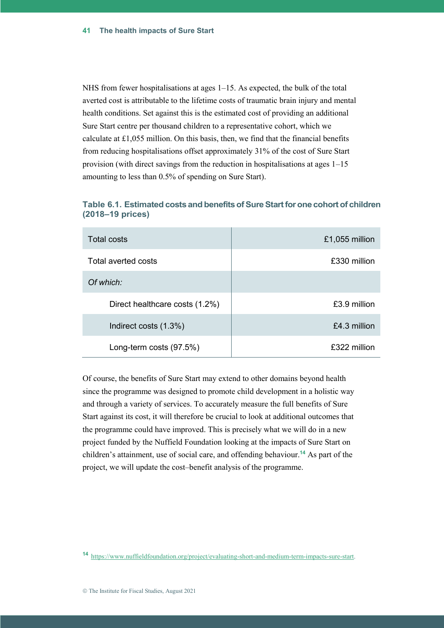NHS from fewer hospitalisations at ages  $1-15$ . As expected, the bulk of the total averted cost is attributable to the lifetime costs of traumatic brain injury and mental health conditions. Set against this is the estimated cost of providing an additional Sure Start centre per thousand children to a representative cohort, which we calculate at £1,055 million. On this basis, then, we find that the financial benefits from reducing hospitalisations offset approximately 31% of the cost of Sure Start provision (with direct savings from the reduction in hospitalisations at ages 1–15 amounting to less than 0.5% of spending on Sure Start).

| Total costs                    | £1,055 million |
|--------------------------------|----------------|
| Total averted costs            | £330 million   |
| Of which:                      |                |
| Direct healthcare costs (1.2%) | £3.9 million   |
| Indirect costs (1.3%)          | £4.3 million   |
| Long-term costs (97.5%)        | £322 million   |

#### **Table 6.1. Estimated costs and benefits of Sure Start for one cohort of children (2018–19 prices)**

Of course, the benefits of Sure Start may extend to other domains beyond health since the programme was designed to promote child development in a holistic way and through a variety of services. To accurately measure the full benefits of Sure Start against its cost, it will therefore be crucial to look at additional outcomes that the programme could have improved. This is precisely what we will do in a new project funded by the Nuffield Foundation looking at the impacts of Sure Start on children's attainment, use of social care, and offending behaviour.**<sup>14</sup>** As part of the project, we will update the cost–benefit analysis of the programme.

**<sup>14</sup>** [https://www.nuffieldfoundation.org/project/evaluating-short-and-medium-term-impacts-sure-start.](https://www.nuffieldfoundation.org/project/evaluating-short-and-medium-term-impacts-sure-start)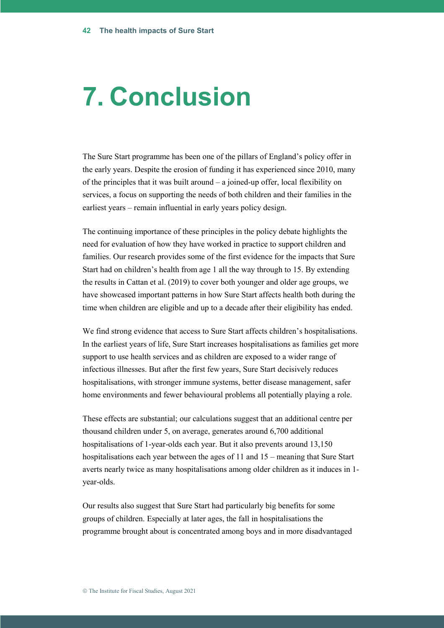# **7. Conclusion**

The Sure Start programme has been one of the pillars of England's policy offer in the early years. Despite the erosion of funding it has experienced since 2010, many of the principles that it was built around – a joined-up offer, local flexibility on services, a focus on supporting the needs of both children and their families in the earliest years – remain influential in early years policy design.

The continuing importance of these principles in the policy debate highlights the need for evaluation of how they have worked in practice to support children and families. Our research provides some of the first evidence for the impacts that Sure Start had on children's health from age 1 all the way through to 15. By extending the results in Cattan et al. (2019) to cover both younger and older age groups, we have showcased important patterns in how Sure Start affects health both during the time when children are eligible and up to a decade after their eligibility has ended.

We find strong evidence that access to Sure Start affects children's hospitalisations. In the earliest years of life, Sure Start increases hospitalisations as families get more support to use health services and as children are exposed to a wider range of infectious illnesses. But after the first few years, Sure Start decisively reduces hospitalisations, with stronger immune systems, better disease management, safer home environments and fewer behavioural problems all potentially playing a role.

These effects are substantial; our calculations suggest that an additional centre per thousand children under 5, on average, generates around 6,700 additional hospitalisations of 1-year-olds each year. But it also prevents around 13,150 hospitalisations each year between the ages of 11 and 15 – meaning that Sure Start averts nearly twice as many hospitalisations among older children as it induces in 1 year-olds.

Our results also suggest that Sure Start had particularly big benefits for some groups of children. Especially at later ages, the fall in hospitalisations the programme brought about is concentrated among boys and in more disadvantaged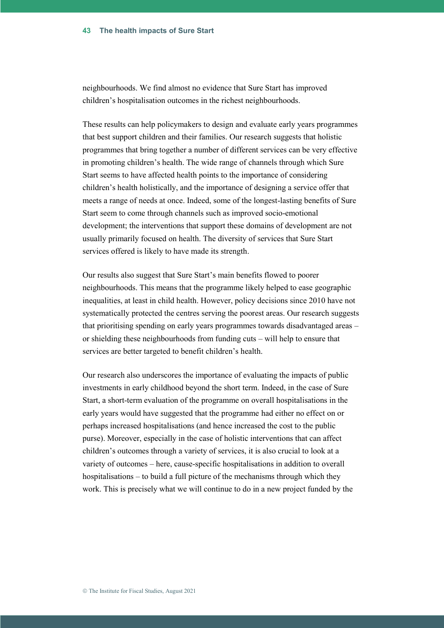neighbourhoods. We find almost no evidence that Sure Start has improved children's hospitalisation outcomes in the richest neighbourhoods.

These results can help policymakers to design and evaluate early years programmes that best support children and their families. Our research suggests that holistic programmes that bring together a number of different services can be very effective in promoting children's health. The wide range of channels through which Sure Start seems to have affected health points to the importance of considering children's health holistically, and the importance of designing a service offer that meets a range of needs at once. Indeed, some of the longest-lasting benefits of Sure Start seem to come through channels such as improved socio-emotional development; the interventions that support these domains of development are not usually primarily focused on health. The diversity of services that Sure Start services offered is likely to have made its strength.

Our results also suggest that Sure Start's main benefits flowed to poorer neighbourhoods. This means that the programme likely helped to ease geographic inequalities, at least in child health. However, policy decisions since 2010 have not systematically protected the centres serving the poorest areas. Our research suggests that prioritising spending on early years programmes towards disadvantaged areas – or shielding these neighbourhoods from funding cuts – will help to ensure that services are better targeted to benefit children's health.

Our research also underscores the importance of evaluating the impacts of public investments in early childhood beyond the short term. Indeed, in the case of Sure Start, a short-term evaluation of the programme on overall hospitalisations in the early years would have suggested that the programme had either no effect on or perhaps increased hospitalisations (and hence increased the cost to the public purse). Moreover, especially in the case of holistic interventions that can affect children's outcomes through a variety of services, it is also crucial to look at a variety of outcomes – here, cause-specific hospitalisations in addition to overall hospitalisations – to build a full picture of the mechanisms through which they work. This is precisely what we will continue to do in a new project funded by the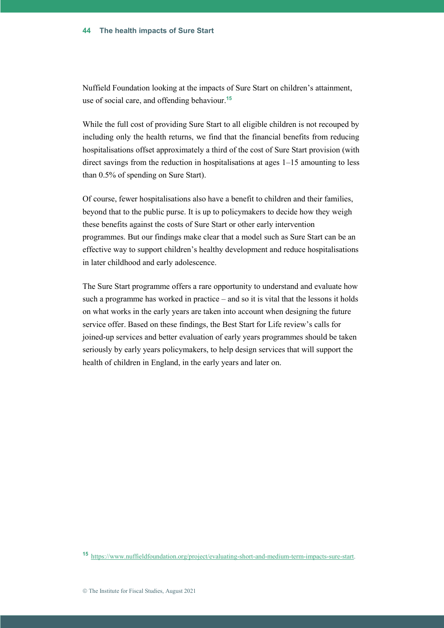Nuffield Foundation looking at the impacts of Sure Start on children's attainment, use of social care, and offending behaviour.**<sup>15</sup>**

While the full cost of providing Sure Start to all eligible children is not recouped by including only the health returns, we find that the financial benefits from reducing hospitalisations offset approximately a third of the cost of Sure Start provision (with direct savings from the reduction in hospitalisations at ages 1–15 amounting to less than 0.5% of spending on Sure Start).

Of course, fewer hospitalisations also have a benefit to children and their families, beyond that to the public purse. It is up to policymakers to decide how they weigh these benefits against the costs of Sure Start or other early intervention programmes. But our findings make clear that a model such as Sure Start can be an effective way to support children's healthy development and reduce hospitalisations in later childhood and early adolescence.

The Sure Start programme offers a rare opportunity to understand and evaluate how such a programme has worked in practice – and so it is vital that the lessons it holds on what works in the early years are taken into account when designing the future service offer. Based on these findings, the Best Start for Life review's calls for joined-up services and better evaluation of early years programmes should be taken seriously by early years policymakers, to help design services that will support the health of children in England, in the early years and later on.

**<sup>15</sup>** [https://www.nuffieldfoundation.org/project/evaluating-short-and-medium-term-impacts-sure-start.](https://www.nuffieldfoundation.org/project/evaluating-short-and-medium-term-impacts-sure-start)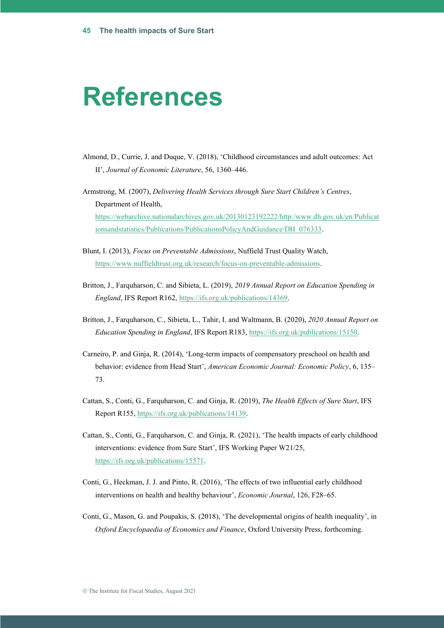# **References**

- Almond, D., Currie, J. and Duque, V. (2018), 'Childhood circumstances and adult outcomes: Act II', *Journal of Economic Literature*, 56, 1360–446.
- Armstrong, M. (2007), *Delivering Health Services through Sure Start Children's Centres*, Department of Health, [https://webarchive.nationalarchives.gov.uk/20130123192222/http:/www.dh.gov.uk/en/Publicat](https://webarchive.nationalarchives.gov.uk/20130123192222/http:/www.dh.gov.uk/en/Publicationsandstatistics/Publications/PublicationsPolicyAndGuidance/DH_076333) [ionsandstatistics/Publications/PublicationsPolicyAndGuidance/DH\\_076333.](https://webarchive.nationalarchives.gov.uk/20130123192222/http:/www.dh.gov.uk/en/Publicationsandstatistics/Publications/PublicationsPolicyAndGuidance/DH_076333)
- Blunt, I. (2013), *Focus on Preventable Admissions*, Nuffield Trust Quality Watch, [https://www.nuffieldtrust.org.uk/research/focus-on-preventable-admissions.](https://www.nuffieldtrust.org.uk/research/focus-on-preventable-admissions)
- Britton, J., Farquharson, C. and Sibieta, L. (2019), *2019 Annual Report on Education Spending in England*, IFS Report R162, [https://ifs.org.uk/publications/14369.](https://ifs.org.uk/publications/14369)
- Britton, J., Farquharson, C., Sibieta, L., Tahir, I. and Waltmann, B. (2020), *2020 Annual Report on Education Spending in England*, IFS Report R183[, https://ifs.org.uk/publications/15150.](https://ifs.org.uk/publications/15150)
- Carneiro, P. and Ginja, R. (2014), 'Long-term impacts of compensatory preschool on health and behavior: evidence from Head Start', *American Economic Journal: Economic Policy*, 6, 135– 73.
- Cattan, S., Conti, G., Farquharson, C. and Ginja, R. (2019), *The Health Effects of Sure Start*, IFS Report R155, [https://ifs.org.uk/publications/14139.](https://ifs.org.uk/publications/14139)
- Cattan, S., Conti, G., Farquharson, C. and Ginja, R. (2021), 'The health impacts of early childhood interventions: evidence from Sure Start', IFS Working Paper W21/25, [https://ifs.org.uk/publications/15571.](https://ifs.org.uk/publications/15571)
- Conti, G., Heckman, J. J. and Pinto, R. (2016), 'The effects of two influential early childhood interventions on health and healthy behaviour', *Economic Journal*, 126, F28–65.
- Conti, G., Mason, G. and Poupakis, S. (2018), 'The developmental origins of health inequality', in *Oxford Encyclopaedia of Economics and Finance*, Oxford University Press, forthcoming.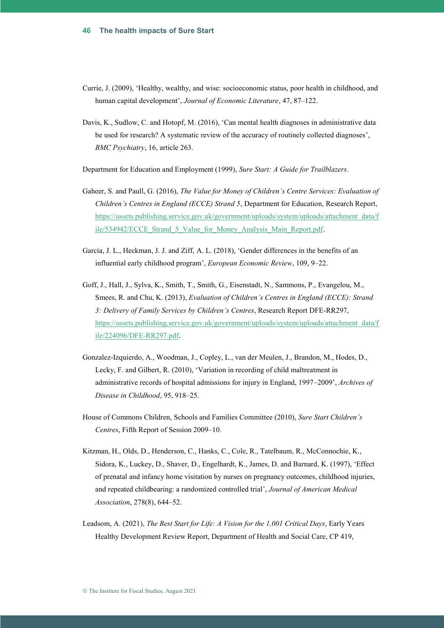- Currie, J. (2009), 'Healthy, wealthy, and wise: socioeconomic status, poor health in childhood, and human capital development', *Journal of Economic Literature*, 47, 87–122.
- Davis, K., Sudlow, C. and Hotopf, M. (2016), 'Can mental health diagnoses in administrative data be used for research? A systematic review of the accuracy of routinely collected diagnoses', *BMC Psychiatry*, 16, article 263.

Department for Education and Employment (1999), *Sure Start: A Guide for Trailblazers*.

- Gaheer, S. and Paull, G. (2016), *The Value for Money of Children's Centre Services: Evaluation of Children's Centres in England (ECCE) Strand 5*, Department for Education, Research Report, [https://assets.publishing.service.gov.uk/government/uploads/system/uploads/attachment\\_data/f](https://assets.publishing.service.gov.uk/government/uploads/system/uploads/attachment_data/file/534942/ECCE_Strand_5_Value_for_Money_Analysis_Main_Report.pdf) [ile/534942/ECCE\\_Strand\\_5\\_Value\\_for\\_Money\\_Analysis\\_Main\\_Report.pdf.](https://assets.publishing.service.gov.uk/government/uploads/system/uploads/attachment_data/file/534942/ECCE_Strand_5_Value_for_Money_Analysis_Main_Report.pdf)
- García, J. L., Heckman, J. J. and Ziff, A. L. (2018), 'Gender differences in the benefits of an influential early childhood program', *European Economic Review*, 109, 9–22.
- Goff, J., Hall, J., Sylva, K., Smith, T., Smith, G., Eisenstadt, N., Sammons, P., Evangelou, M., Smees, R. and Chu, K. (2013), *Evaluation of Children's Centres in England (ECCE): Strand 3: Delivery of Family Services by Children's Centres*, Research Report DFE-RR297, [https://assets.publishing.service.gov.uk/government/uploads/system/uploads/attachment\\_data/f](https://assets.publishing.service.gov.uk/government/uploads/system/uploads/attachment_data/file/224096/DFE-RR297.pdf) [ile/224096/DFE-RR297.pdf.](https://assets.publishing.service.gov.uk/government/uploads/system/uploads/attachment_data/file/224096/DFE-RR297.pdf)
- Gonzalez-Izquierdo, A., Woodman, J., Copley, L., van der Meulen, J., Brandon, M., Hodes, D., Lecky, F. and Gilbert, R. (2010), 'Variation in recording of child maltreatment in administrative records of hospital admissions for injury in England, 1997–2009', *Archives of Disease in Childhood*, 95, 918–25.
- House of Commons Children, Schools and Families Committee (2010), *Sure Start Children's Centres*, Fifth Report of Session 2009–10.
- Kitzman, H., Olds, D., Henderson, C., Hanks, C., Cole, R., Tatelbaum, R., McConnochie, K., Sidora, K., Luckey, D., Shaver, D., Engelhardt, K., James, D. and Barnard, K. (1997), 'Effect of prenatal and infancy home visitation by nurses on pregnancy outcomes, childhood injuries, and repeated childbearing: a randomized controlled trial', *Journal of American Medical Association*, 278(8), 644–52.
- Leadsom, A. (2021), *The Best Start for Life: A Vision for the 1,001 Critical Days*, Early Years Healthy Development Review Report, Department of Health and Social Care, CP 419,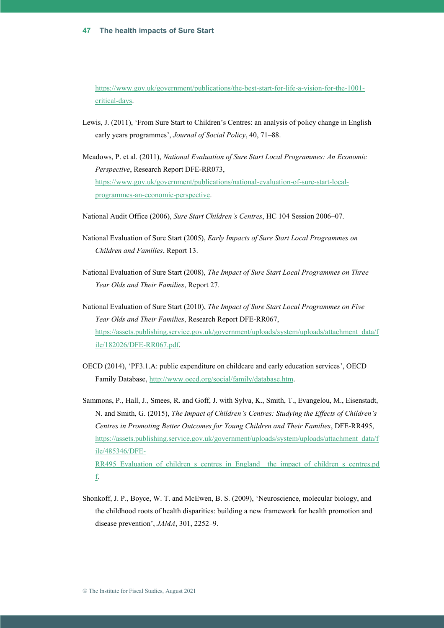[https://www.gov.uk/government/publications/the-best-start-for-life-a-vision-for-the-1001](https://www.gov.uk/government/publications/the-best-start-for-life-a-vision-for-the-1001-critical-days) [critical-days.](https://www.gov.uk/government/publications/the-best-start-for-life-a-vision-for-the-1001-critical-days)

- Lewis, J. (2011), 'From Sure Start to Children's Centres: an analysis of policy change in English early years programmes', *Journal of Social Policy*, 40, 71–88.
- Meadows, P. et al. (2011), *National Evaluation of Sure Start Local Programmes: An Economic Perspective*, Research Report DFE-RR073, [https://www.gov.uk/government/publications/national-evaluation-of-sure-start-local](https://www.gov.uk/government/publications/national-evaluation-of-sure-start-local-programmes-an-economic-perspective)[programmes-an-economic-perspective.](https://www.gov.uk/government/publications/national-evaluation-of-sure-start-local-programmes-an-economic-perspective)
- National Audit Office (2006), *Sure Start Children's Centres*, HC 104 Session 2006–07.
- National Evaluation of Sure Start (2005), *Early Impacts of Sure Start Local Programmes on Children and Families*, Report 13.
- National Evaluation of Sure Start (2008), *The Impact of Sure Start Local Programmes on Three Year Olds and Their Families*, Report 27.
- National Evaluation of Sure Start (2010), *The Impact of Sure Start Local Programmes on Five Year Olds and Their Families*, Research Report DFE-RR067, [https://assets.publishing.service.gov.uk/government/uploads/system/uploads/attachment\\_data/f](https://assets.publishing.service.gov.uk/government/uploads/system/uploads/attachment_data/file/182026/DFE-RR067.pdf) [ile/182026/DFE-RR067.pdf.](https://assets.publishing.service.gov.uk/government/uploads/system/uploads/attachment_data/file/182026/DFE-RR067.pdf)
- OECD (2014), 'PF3.1.A: public expenditure on childcare and early education services', OECD Family Database, http:/[/www.oecd.org/social/family/database.htm.](http://www.oecd.org/social/family/database.htm)
- Sammons, P., Hall, J., Smees, R. and Goff, J. with Sylva, K., Smith, T., Evangelou, M., Eisenstadt, N. and Smith, G. (2015), *The Impact of Children's Centres: Studying the Effects of Children's Centres in Promoting Better Outcomes for Young Children and Their Families*, DFE-RR495, [https://assets.publishing.service.gov.uk/government/uploads/system/uploads/attachment\\_data/f](https://assets.publishing.service.gov.uk/government/uploads/system/uploads/attachment_data/file/485346/DFE-RR495_Evaluation_of_children_s_centres_in_England__the_impact_of_children_s_centres.pdf) [ile/485346/DFE-](https://assets.publishing.service.gov.uk/government/uploads/system/uploads/attachment_data/file/485346/DFE-RR495_Evaluation_of_children_s_centres_in_England__the_impact_of_children_s_centres.pdf)RR495 Evaluation of children s centres in England the impact of children s centres.pd [f.](https://assets.publishing.service.gov.uk/government/uploads/system/uploads/attachment_data/file/485346/DFE-RR495_Evaluation_of_children_s_centres_in_England__the_impact_of_children_s_centres.pdf)
- Shonkoff, J. P., Boyce, W. T. and McEwen, B. S. (2009), 'Neuroscience, molecular biology, and the childhood roots of health disparities: building a new framework for health promotion and disease prevention', *JAMA*, 301, 2252–9.